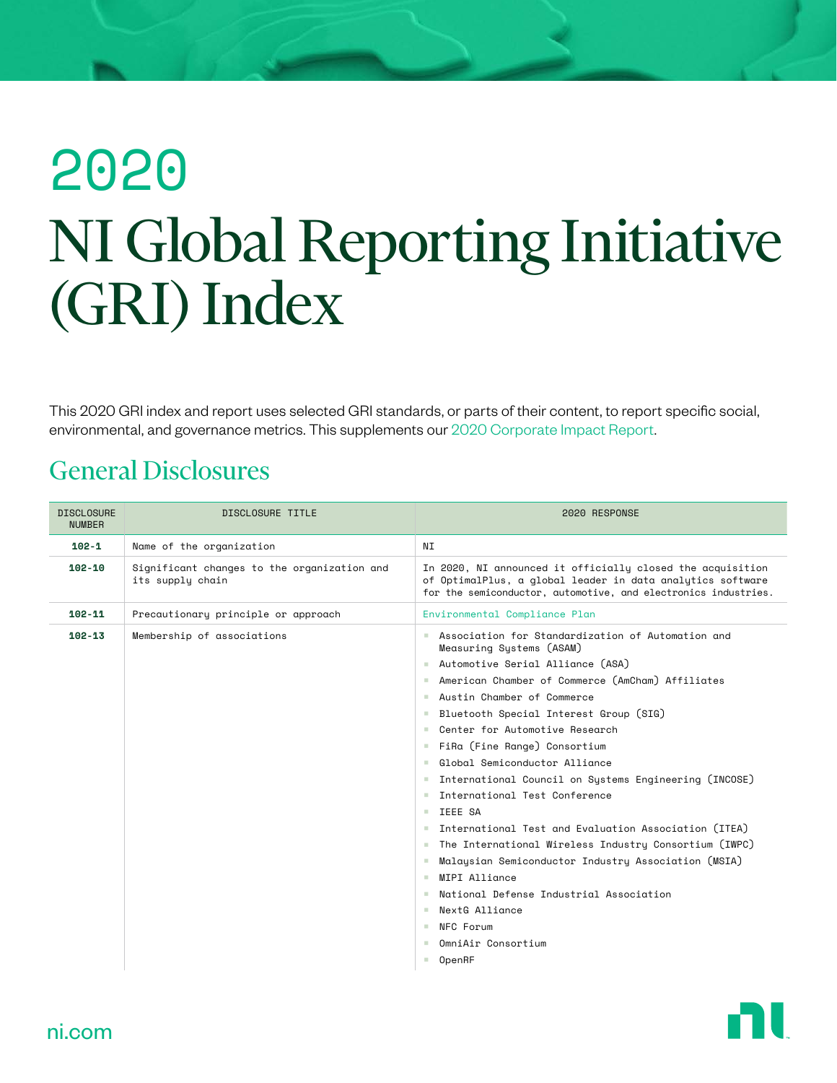# 2020 NI Global Reporting Initiative (GRI) Index

This 2020 GRI index and report uses selected GRI standards, or parts of their content, to report specific social, environmental, and governance metrics. This supplements our [2020 Corporate Impact Report.](https://www.ni.com/en-us/about-ni/corporate-impact/reporting-and-governance.html)

#### General Disclosures

| <b>DISCLOSURE</b><br><b>NUMBER</b> | DISCLOSURE TITLE                                                | 2020 RESPONSE                                                                                                                                                                                                                                                                                                                                                                                                                                                                                                                                                                                                                                                                                                                                                                                                                             |
|------------------------------------|-----------------------------------------------------------------|-------------------------------------------------------------------------------------------------------------------------------------------------------------------------------------------------------------------------------------------------------------------------------------------------------------------------------------------------------------------------------------------------------------------------------------------------------------------------------------------------------------------------------------------------------------------------------------------------------------------------------------------------------------------------------------------------------------------------------------------------------------------------------------------------------------------------------------------|
| $102 - 1$                          | Name of the organization                                        | ΝI                                                                                                                                                                                                                                                                                                                                                                                                                                                                                                                                                                                                                                                                                                                                                                                                                                        |
| $102 - 10$                         | Significant changes to the organization and<br>its supply chain | In 2020, NI announced it officially closed the acquisition<br>of OptimalPlus, a global leader in data analytics software<br>for the semiconductor, automotive, and electronics industries.                                                                                                                                                                                                                                                                                                                                                                                                                                                                                                                                                                                                                                                |
| $102 - 11$                         | Precautionary principle or approach                             | Environmental Compliance Plan                                                                                                                                                                                                                                                                                                                                                                                                                                                                                                                                                                                                                                                                                                                                                                                                             |
| $102 - 13$                         | Membership of associations                                      | Association for Standardization of Automation and<br>Measuring Systems (ASAM)<br>Automotive Serial Alliance (ASA)<br>American Chamber of Commerce (AmCham) Affiliates<br>a.<br>Austin Chamber of Commerce<br>Bluetooth Special Interest Group (SIG)<br>Center for Automotive Research<br><b>College</b><br>FiRa (Fine Range) Consortium<br>a.<br>Global Semiconductor Alliance<br>٠<br>International Council on Systems Engineering (INCOSE)<br>a.<br>International Test Conference<br>٠<br>TFFF SA<br>m.<br>International Test and Evaluation Association (ITEA)<br>The International Wireless Industry Consortium (IWPC)<br>a a<br>Malaysian Semiconductor Industry Association (MSIA)<br>٠<br>MTPT Alliance<br>٠<br>National Defense Industrial Association<br>NextG Alliance<br><b>COLOR</b><br>NFC Forum<br>п.<br>OmniAir Consortium |
|                                    |                                                                 | OpenRF<br>٠                                                                                                                                                                                                                                                                                                                                                                                                                                                                                                                                                                                                                                                                                                                                                                                                                               |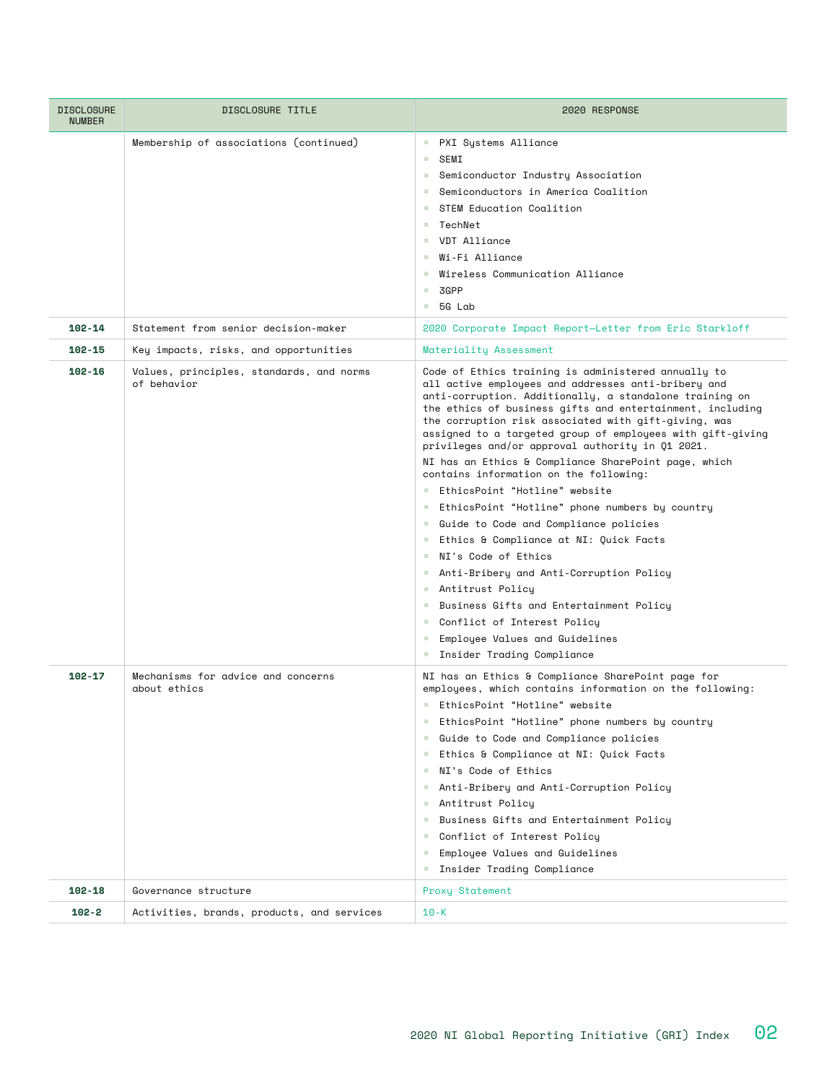| <b>DISCLOSURE</b><br><b>NUMBER</b> | DISCLOSURE TITLE                                        | 2020 RESPONSE                                                                                                                                                                                                                                                                                                                                                                                                                                                                                                                                                                                                                                                                                                                                                                                                                                                                                                                                                      |
|------------------------------------|---------------------------------------------------------|--------------------------------------------------------------------------------------------------------------------------------------------------------------------------------------------------------------------------------------------------------------------------------------------------------------------------------------------------------------------------------------------------------------------------------------------------------------------------------------------------------------------------------------------------------------------------------------------------------------------------------------------------------------------------------------------------------------------------------------------------------------------------------------------------------------------------------------------------------------------------------------------------------------------------------------------------------------------|
|                                    | Membership of associations (continued)                  | PXI Systems Alliance<br>m.<br>SEMI<br>a.<br>Semiconductor Industry Association<br><b>College</b><br>Semiconductors in America Coalition<br><b>College</b><br>STEM Education Coalition<br>a.<br>$\blacksquare$ TechNet<br>VDT Alliance<br><b>COLLEGE</b><br>■ Wi-Fi Alliance<br>Wireless Communication Alliance<br>and the<br>3GPP<br>a.<br>$-56$ Lab                                                                                                                                                                                                                                                                                                                                                                                                                                                                                                                                                                                                               |
| $102 - 14$                         | Statement from senior decision-maker                    | 2020 Corporate Impact Report-Letter from Eric Starkloff                                                                                                                                                                                                                                                                                                                                                                                                                                                                                                                                                                                                                                                                                                                                                                                                                                                                                                            |
| $102 - 15$                         | Key impacts, risks, and opportunities                   | Materiality Assessment                                                                                                                                                                                                                                                                                                                                                                                                                                                                                                                                                                                                                                                                                                                                                                                                                                                                                                                                             |
| $102 - 16$                         | Values, principles, standards, and norms<br>of behavior | Code of Ethics training is administered annually to<br>all active employees and addresses anti-bribery and<br>anti-corruption. Additionally, a standalone training on<br>the ethics of business gifts and entertainment, including<br>the corruption risk associated with gift-giving, was<br>assigned to a targeted group of employees with gift-giving<br>privileges and/or approval authority in Q1 2021.<br>NI has an Ethics & Compliance SharePoint page, which<br>contains information on the following:<br>EthicsPoint "Hotline" website<br>EthicsPoint "Hotline" phone numbers by country<br>Guide to Code and Compliance policies<br>Ethics & Compliance at NI: Quick Facts<br>■ NI's Code of Ethics<br>Anti-Bribery and Anti-Corruption Policy<br>■ Antitrust Policy<br>■ Business Gifts and Entertainment Policy<br>Conflict of Interest Policy<br>Employee Values and Guidelines<br>$\mathcal{L}_{\mathcal{A}}$<br><b>E</b> Insider Trading Compliance |
| $102 - 17$                         | Mechanisms for advice and concerns<br>about ethics      | NI has an Ethics & Compliance SharePoint page for<br>employees, which contains information on the following:<br>EthicsPoint "Hotline" website<br>EthicsPoint "Hotline" phone numbers by country<br>Guide to Code and Compliance policies<br>Ethics & Compliance at NI: Quick Facts<br>NI's Code of Ethics<br>a.<br>Anti-Bribery and Anti-Corruption Policy<br>- Antitrust Policy<br>Business Gifts and Entertainment Policy<br><b>College</b><br>Conflict of Interest Policy<br><b>College</b><br>Employee Values and Guidelines<br>a.<br><b>E</b> Insider Trading Compliance                                                                                                                                                                                                                                                                                                                                                                                      |
| 102-18                             | Governance structure                                    | Proxy Statement                                                                                                                                                                                                                                                                                                                                                                                                                                                                                                                                                                                                                                                                                                                                                                                                                                                                                                                                                    |
| $102 - 2$                          | Activities, brands, products, and services              | $10 - K$                                                                                                                                                                                                                                                                                                                                                                                                                                                                                                                                                                                                                                                                                                                                                                                                                                                                                                                                                           |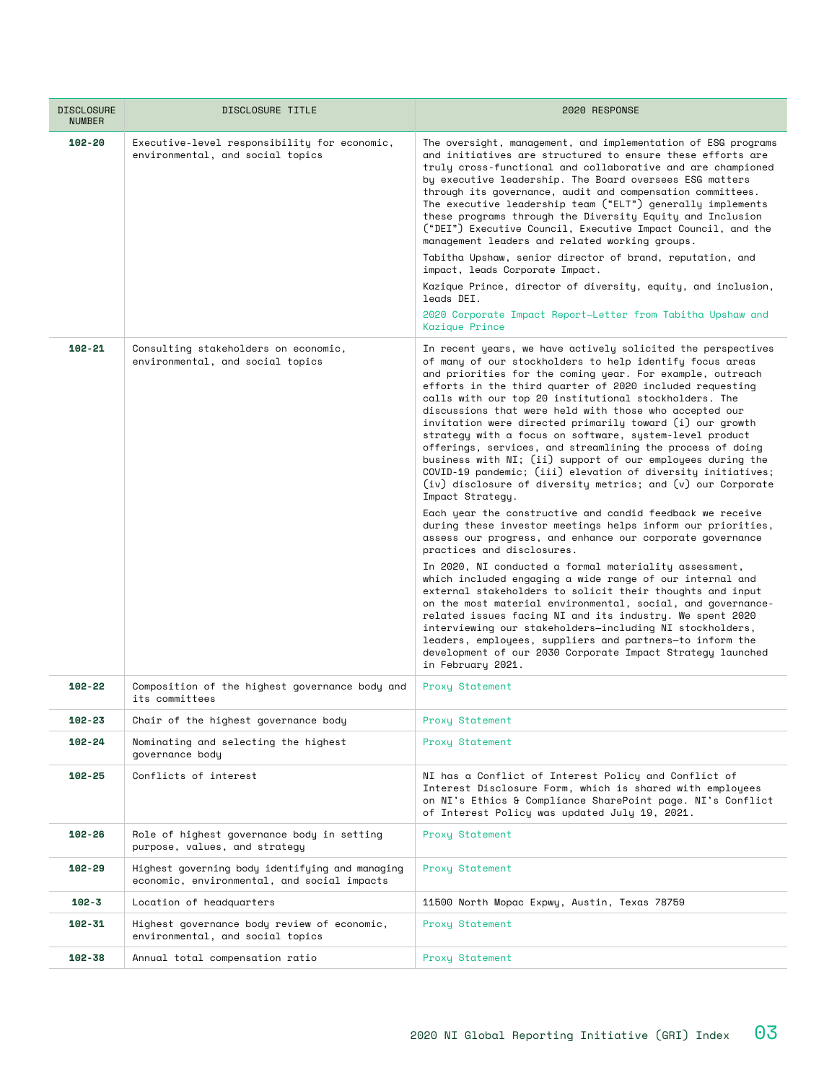| <b>DISCLOSURE</b><br><b>NUMBER</b> | DISCLOSURE TITLE                                                                               | 2020 RESPONSE                                                                                                                                                                                                                                                                                                                                                                                                                                                                                                                                                                                                                                                                                                                                                                                                                                                                                                                                                                                                                                                                                                                                                                                                                                                                                                                                                                                                                                                                                                              |
|------------------------------------|------------------------------------------------------------------------------------------------|----------------------------------------------------------------------------------------------------------------------------------------------------------------------------------------------------------------------------------------------------------------------------------------------------------------------------------------------------------------------------------------------------------------------------------------------------------------------------------------------------------------------------------------------------------------------------------------------------------------------------------------------------------------------------------------------------------------------------------------------------------------------------------------------------------------------------------------------------------------------------------------------------------------------------------------------------------------------------------------------------------------------------------------------------------------------------------------------------------------------------------------------------------------------------------------------------------------------------------------------------------------------------------------------------------------------------------------------------------------------------------------------------------------------------------------------------------------------------------------------------------------------------|
| $102 - 20$                         | Executive-level responsibility for economic,<br>environmental, and social topics               | The oversight, management, and implementation of ESG programs<br>and initiatives are structured to ensure these efforts are<br>trulu cross-functional and collaborative and are championed<br>by executive leadership. The Board oversees ESG matters<br>through its governance, audit and compensation committees.<br>The executive leadership team ("ELT") generally implements<br>these programs through the Diversity Equity and Inclusion<br>("DEI") Executive Council, Executive Impact Council, and the<br>management leaders and related working groups.<br>Tabitha Upshaw, senior director of brand, reputation, and<br>impact, leads Corporate Impact.<br>Kazique Prince, director of diversity, equity, and inclusion,<br>leads DEI.<br>2020 Corporate Impact Report—Letter from Tabitha Upshaw and<br>Kazique Prince                                                                                                                                                                                                                                                                                                                                                                                                                                                                                                                                                                                                                                                                                           |
| $102 - 21$                         | Consulting stakeholders on economic,<br>environmental, and social topics                       | In recent years, we have actively solicited the perspectives<br>of many of our stockholders to help identify focus areas<br>and priorities for the coming year. For example, outreach<br>efforts in the third quarter of 2020 included requesting<br>calls with our top 20 institutional stockholders. The<br>discussions that were held with those who accepted our<br>invitation were directed primarily toward (i) our growth<br>strategy with a focus on software, system-level product<br>offerings, services, and streamlining the process of doing<br>business with NI; (ii) support of our employees during the<br>COVID-19 pandemic; (iii) elevation of diversity initiatives;<br>(iv) disclosure of diversity metrics; and (v) our Corporate<br>Impact Strategy.<br>Each year the constructive and candid feedback we receive<br>during these investor meetings helps inform our priorities,<br>assess our progress, and enhance our corporate governance<br>practices and disclosures.<br>In 2020, NI conducted a formal materiality assessment,<br>which included engaging a wide range of our internal and<br>external stakeholders to solicit their thoughts and input<br>on the most material environmental, social, and governance-<br>related issues facing NI and its industry. We spent 2020<br>interviewing our stakeholders-including NI stockholders,<br>leaders, employees, suppliers and partners-to inform the<br>development of our 2030 Corporate Impact Strategy launched<br>in February 2021. |
| $102 - 22$                         | Composition of the highest governance body and<br>its committees                               | Proxy Statement                                                                                                                                                                                                                                                                                                                                                                                                                                                                                                                                                                                                                                                                                                                                                                                                                                                                                                                                                                                                                                                                                                                                                                                                                                                                                                                                                                                                                                                                                                            |
| 102-23                             | Chair of the highest governance body                                                           | Proxy Statement                                                                                                                                                                                                                                                                                                                                                                                                                                                                                                                                                                                                                                                                                                                                                                                                                                                                                                                                                                                                                                                                                                                                                                                                                                                                                                                                                                                                                                                                                                            |
| 102-24                             | Nominating and selecting the highest<br>governance body                                        | Proxy Statement                                                                                                                                                                                                                                                                                                                                                                                                                                                                                                                                                                                                                                                                                                                                                                                                                                                                                                                                                                                                                                                                                                                                                                                                                                                                                                                                                                                                                                                                                                            |
| $102 - 25$                         | Conflicts of interest                                                                          | NI has a Conflict of Interest Policy and Conflict of<br>Interest Disclosure Form, which is shared with employees<br>on NI's Ethics & Compliance SharePoint page. NI's Conflict<br>of Interest Policy was updated July 19, 2021.                                                                                                                                                                                                                                                                                                                                                                                                                                                                                                                                                                                                                                                                                                                                                                                                                                                                                                                                                                                                                                                                                                                                                                                                                                                                                            |
| 102-26                             | Role of highest governance body in setting<br>purpose, values, and stratequ                    | Proxy Statement                                                                                                                                                                                                                                                                                                                                                                                                                                                                                                                                                                                                                                                                                                                                                                                                                                                                                                                                                                                                                                                                                                                                                                                                                                                                                                                                                                                                                                                                                                            |
| 102-29                             | Highest governing body identifying and managing<br>economic, environmental, and social impacts | Proxy Statement                                                                                                                                                                                                                                                                                                                                                                                                                                                                                                                                                                                                                                                                                                                                                                                                                                                                                                                                                                                                                                                                                                                                                                                                                                                                                                                                                                                                                                                                                                            |
| $102 - 3$                          | Location of headquarters                                                                       | 11500 North Mopac Expwy, Austin, Texas 78759                                                                                                                                                                                                                                                                                                                                                                                                                                                                                                                                                                                                                                                                                                                                                                                                                                                                                                                                                                                                                                                                                                                                                                                                                                                                                                                                                                                                                                                                               |
| 102-31                             | Highest governance body review of economic,<br>environmental, and social topics                | Proxy Statement                                                                                                                                                                                                                                                                                                                                                                                                                                                                                                                                                                                                                                                                                                                                                                                                                                                                                                                                                                                                                                                                                                                                                                                                                                                                                                                                                                                                                                                                                                            |
| $102 - 38$                         | Annual total compensation ratio                                                                | Proxy Statement                                                                                                                                                                                                                                                                                                                                                                                                                                                                                                                                                                                                                                                                                                                                                                                                                                                                                                                                                                                                                                                                                                                                                                                                                                                                                                                                                                                                                                                                                                            |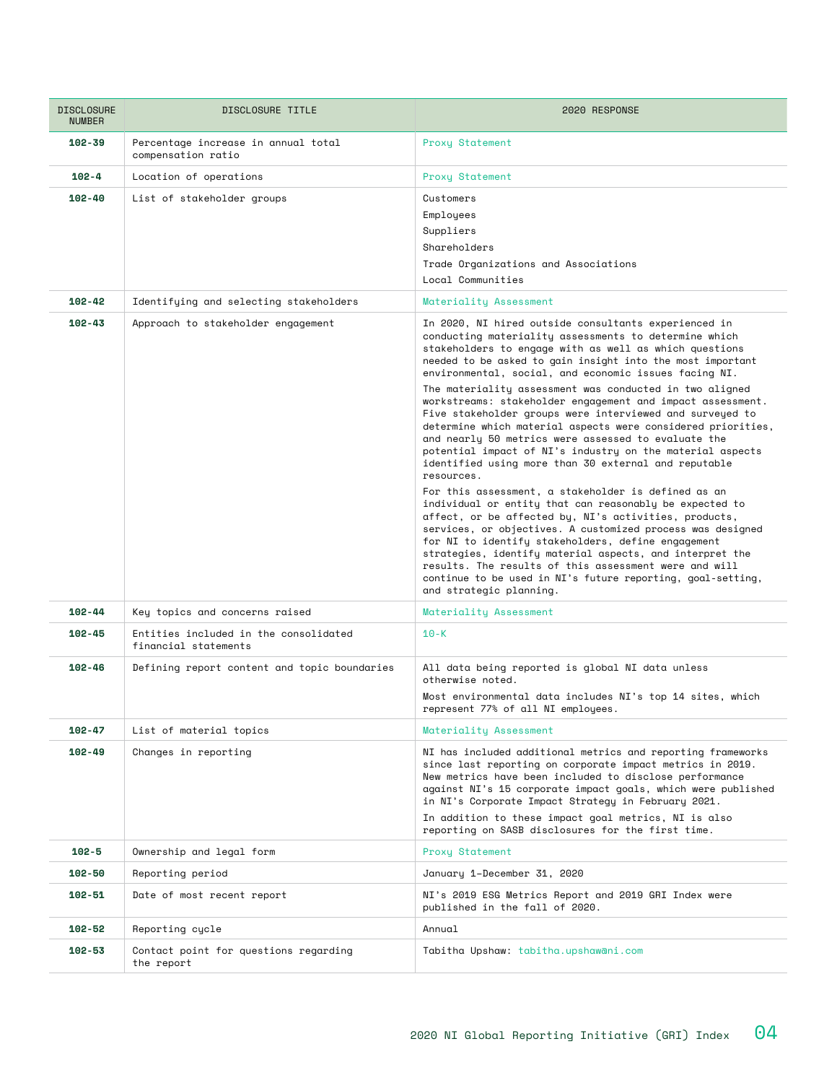| <b>DISCLOSURE</b><br><b>NUMBER</b> | DISCLOSURE TITLE                                              | 2020 RESPONSE                                                                                                                                                                                                                                                                                                                                                                                                                                                                                                                                                                                                                                                                                                                                                                                                                                                                                                                                                                                                                                                                                                                                                                                                                                               |
|------------------------------------|---------------------------------------------------------------|-------------------------------------------------------------------------------------------------------------------------------------------------------------------------------------------------------------------------------------------------------------------------------------------------------------------------------------------------------------------------------------------------------------------------------------------------------------------------------------------------------------------------------------------------------------------------------------------------------------------------------------------------------------------------------------------------------------------------------------------------------------------------------------------------------------------------------------------------------------------------------------------------------------------------------------------------------------------------------------------------------------------------------------------------------------------------------------------------------------------------------------------------------------------------------------------------------------------------------------------------------------|
| $102 - 39$                         | Percentage increase in annual total<br>compensation ratio     | Proxy Statement                                                                                                                                                                                                                                                                                                                                                                                                                                                                                                                                                                                                                                                                                                                                                                                                                                                                                                                                                                                                                                                                                                                                                                                                                                             |
| $102 - 4$                          | Location of operations                                        | Proxy Statement                                                                                                                                                                                                                                                                                                                                                                                                                                                                                                                                                                                                                                                                                                                                                                                                                                                                                                                                                                                                                                                                                                                                                                                                                                             |
| $102 - 40$                         | List of stakeholder groups                                    | Customers<br>Employees<br>Suppliers<br>Shareholders<br>Trade Organizations and Associations<br>Local Communities                                                                                                                                                                                                                                                                                                                                                                                                                                                                                                                                                                                                                                                                                                                                                                                                                                                                                                                                                                                                                                                                                                                                            |
| $102 - 42$                         | Identifying and selecting stakeholders                        | Materiality Assessment                                                                                                                                                                                                                                                                                                                                                                                                                                                                                                                                                                                                                                                                                                                                                                                                                                                                                                                                                                                                                                                                                                                                                                                                                                      |
| $102 - 43$                         | Approach to stakeholder engagement                            | In 2020, NI hired outside consultants experienced in<br>conducting materiality assessments to determine which<br>stakeholders to engage with as well as which questions<br>needed to be asked to gain insight into the most important<br>environmental, social, and economic issues facing NI.<br>The materiality assessment was conducted in two aligned<br>workstreams: stakeholder engagement and impact assessment.<br>Five stakeholder groups were interviewed and surveyed to<br>determine which material aspects were considered priorities,<br>and nearly 50 metrics were assessed to evaluate the<br>potential impact of NI's industry on the material aspects<br>identified using more than 30 external and reputable<br>resources.<br>For this assessment, a stakeholder is defined as an<br>individual or entity that can reasonably be expected to<br>affect, or be affected by, NI's activities, products,<br>services, or objectives. A customized process was designed<br>for NI to identify stakeholders, define engagement<br>strategies, identify material aspects, and interpret the<br>results. The results of this assessment were and will<br>continue to be used in NI's future reporting, goal-setting,<br>and strategic planning. |
| $102 - 44$                         | Key topics and concerns raised                                | Materiality Assessment                                                                                                                                                                                                                                                                                                                                                                                                                                                                                                                                                                                                                                                                                                                                                                                                                                                                                                                                                                                                                                                                                                                                                                                                                                      |
| $102 - 45$                         | Entities included in the consolidated<br>financial statements | $10 - K$                                                                                                                                                                                                                                                                                                                                                                                                                                                                                                                                                                                                                                                                                                                                                                                                                                                                                                                                                                                                                                                                                                                                                                                                                                                    |
| $102 - 46$                         | Defining report content and topic boundaries                  | All data being reported is global NI data unless<br>otherwise noted.<br>Most environmental data includes NI's top 14 sites, which<br>represent 77% of all NI employees.                                                                                                                                                                                                                                                                                                                                                                                                                                                                                                                                                                                                                                                                                                                                                                                                                                                                                                                                                                                                                                                                                     |
| $102 - 47$                         | List of material topics                                       | Materiality Assessment                                                                                                                                                                                                                                                                                                                                                                                                                                                                                                                                                                                                                                                                                                                                                                                                                                                                                                                                                                                                                                                                                                                                                                                                                                      |
| $102 - 49$                         | Changes in reporting                                          | NI has included additional metrics and reporting frameworks<br>since last reporting on corporate impact metrics in 2019.<br>New metrics have been included to disclose performance<br>against NI's 15 corporate impact goals, which were published<br>in NI's Corporate Impact Strategy in February 2021.<br>In addition to these impact goal metrics, NI is also<br>reporting on SASB disclosures for the first time.                                                                                                                                                                                                                                                                                                                                                                                                                                                                                                                                                                                                                                                                                                                                                                                                                                      |
| $102 - 5$                          | Ownership and legal form                                      | Proxy Statement                                                                                                                                                                                                                                                                                                                                                                                                                                                                                                                                                                                                                                                                                                                                                                                                                                                                                                                                                                                                                                                                                                                                                                                                                                             |
| 102-50                             | Reporting period                                              | January 1-December 31, 2020                                                                                                                                                                                                                                                                                                                                                                                                                                                                                                                                                                                                                                                                                                                                                                                                                                                                                                                                                                                                                                                                                                                                                                                                                                 |
| $102 - 51$                         | Date of most recent report                                    | NI's 2019 ESG Metrics Report and 2019 GRI Index were<br>published in the fall of 2020.                                                                                                                                                                                                                                                                                                                                                                                                                                                                                                                                                                                                                                                                                                                                                                                                                                                                                                                                                                                                                                                                                                                                                                      |
| 102-52                             | Reporting cycle                                               | Annual                                                                                                                                                                                                                                                                                                                                                                                                                                                                                                                                                                                                                                                                                                                                                                                                                                                                                                                                                                                                                                                                                                                                                                                                                                                      |
| 102-53                             | Contact point for questions regarding<br>the report           | Tabitha Upshaw: tabitha.upshawani.com                                                                                                                                                                                                                                                                                                                                                                                                                                                                                                                                                                                                                                                                                                                                                                                                                                                                                                                                                                                                                                                                                                                                                                                                                       |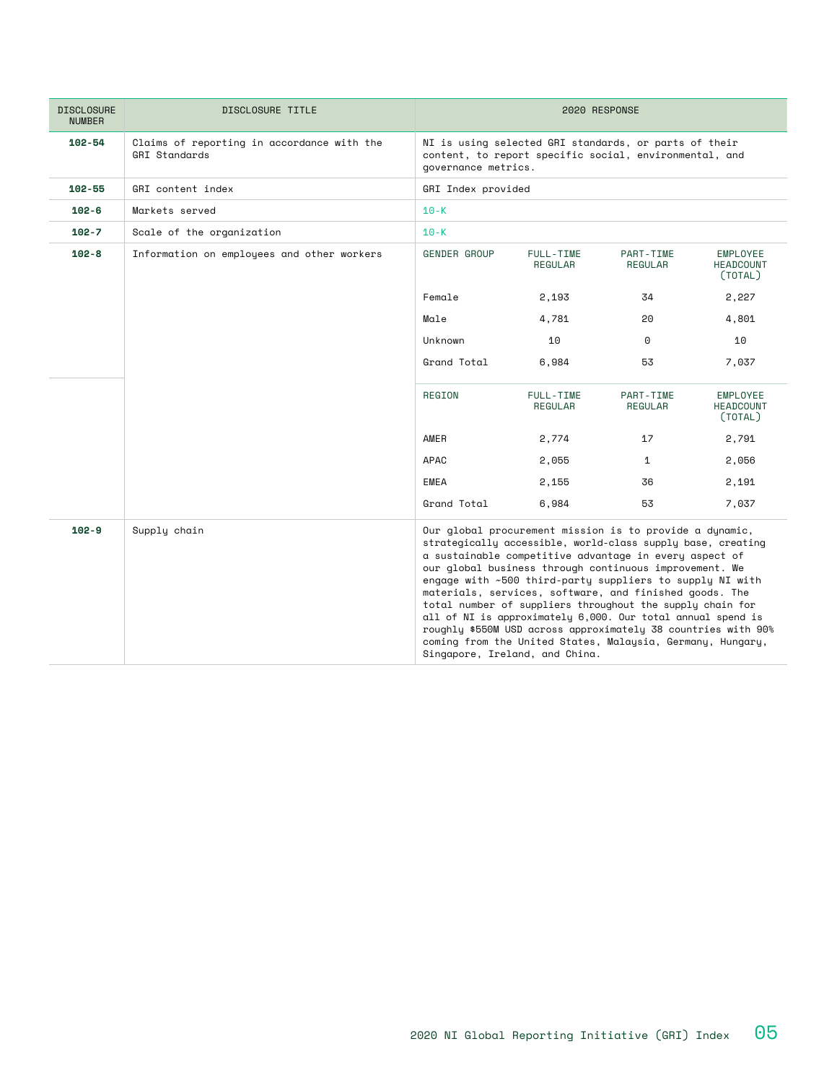| <b>DISCLOSURE</b><br><b>NUMBER</b> | DISCLOSURE TITLE                                            |                                                                                                                                        | 2020 RESPONSE                                                                                                                                                                                                                                                                                                                                                                                                                                                                                                                                                                                                                                                 |                      |                                                |
|------------------------------------|-------------------------------------------------------------|----------------------------------------------------------------------------------------------------------------------------------------|---------------------------------------------------------------------------------------------------------------------------------------------------------------------------------------------------------------------------------------------------------------------------------------------------------------------------------------------------------------------------------------------------------------------------------------------------------------------------------------------------------------------------------------------------------------------------------------------------------------------------------------------------------------|----------------------|------------------------------------------------|
| $102 - 54$                         | Claims of reporting in accordance with the<br>GRI Standards | NI is using selected GRI standards, or parts of their<br>content, to report specific social, environmental, and<br>governance metrics. |                                                                                                                                                                                                                                                                                                                                                                                                                                                                                                                                                                                                                                                               |                      |                                                |
| 102-55                             | GRI content index                                           | GRI Index provided                                                                                                                     |                                                                                                                                                                                                                                                                                                                                                                                                                                                                                                                                                                                                                                                               |                      |                                                |
| $102 - 6$                          | Markets served                                              | $10 - K$                                                                                                                               |                                                                                                                                                                                                                                                                                                                                                                                                                                                                                                                                                                                                                                                               |                      |                                                |
| $102 - 7$                          | Scale of the organization                                   | $10 - K$                                                                                                                               |                                                                                                                                                                                                                                                                                                                                                                                                                                                                                                                                                                                                                                                               |                      |                                                |
| $102 - 8$                          | Information on employees and other workers                  | <b>GENDER GROUP</b>                                                                                                                    | FULL-TIME<br>REGULAR                                                                                                                                                                                                                                                                                                                                                                                                                                                                                                                                                                                                                                          | PART-TIME<br>REGULAR | EMPLOYEE<br><b>HEADCOUNT</b><br>(TOTAL)        |
|                                    |                                                             | Female                                                                                                                                 | 2,193                                                                                                                                                                                                                                                                                                                                                                                                                                                                                                                                                                                                                                                         | 34                   | 2,227                                          |
|                                    |                                                             | Male                                                                                                                                   | 4,781                                                                                                                                                                                                                                                                                                                                                                                                                                                                                                                                                                                                                                                         | 20                   | 4,801                                          |
|                                    |                                                             | Unknown                                                                                                                                | 10                                                                                                                                                                                                                                                                                                                                                                                                                                                                                                                                                                                                                                                            | $\Theta$             | 10                                             |
|                                    |                                                             | Grand Total                                                                                                                            | 6,984                                                                                                                                                                                                                                                                                                                                                                                                                                                                                                                                                                                                                                                         | 53                   | 7,037                                          |
|                                    |                                                             | REGION                                                                                                                                 | FULL-TIME<br>REGULAR                                                                                                                                                                                                                                                                                                                                                                                                                                                                                                                                                                                                                                          | PART-TIME<br>REGULAR | <b>EMPLOYEE</b><br><b>HEADCOUNT</b><br>(TOTAL) |
|                                    |                                                             | AMER                                                                                                                                   | 2,774                                                                                                                                                                                                                                                                                                                                                                                                                                                                                                                                                                                                                                                         | 17                   | 2,791                                          |
|                                    |                                                             | APAC                                                                                                                                   | 2,055                                                                                                                                                                                                                                                                                                                                                                                                                                                                                                                                                                                                                                                         | $\mathbf{1}$         | 2,056                                          |
|                                    |                                                             | EMEA                                                                                                                                   | 2,155                                                                                                                                                                                                                                                                                                                                                                                                                                                                                                                                                                                                                                                         | 36                   | 2,191                                          |
|                                    |                                                             | Grand Total                                                                                                                            | 6,984                                                                                                                                                                                                                                                                                                                                                                                                                                                                                                                                                                                                                                                         | 53                   | 7,037                                          |
| $102 - 9$                          | Supply chain                                                |                                                                                                                                        | Our global procurement mission is to provide a dynamic,<br>strategically accessible, world-class supply base, creating<br>a sustainable competitive advantage in every aspect of<br>our global business through continuous improvement. We<br>engage with ~500 third-party suppliers to supply NI with<br>materials, services, software, and finished goods. The<br>total number of suppliers throughout the supply chain for<br>all of NI is approximately 6,000. Our total annual spend is<br>roughly \$550M USD across approximately 38 countries with 90%<br>coming from the United States, Malaysia, Germany, Hungary,<br>Singapore, Ireland, and China. |                      |                                                |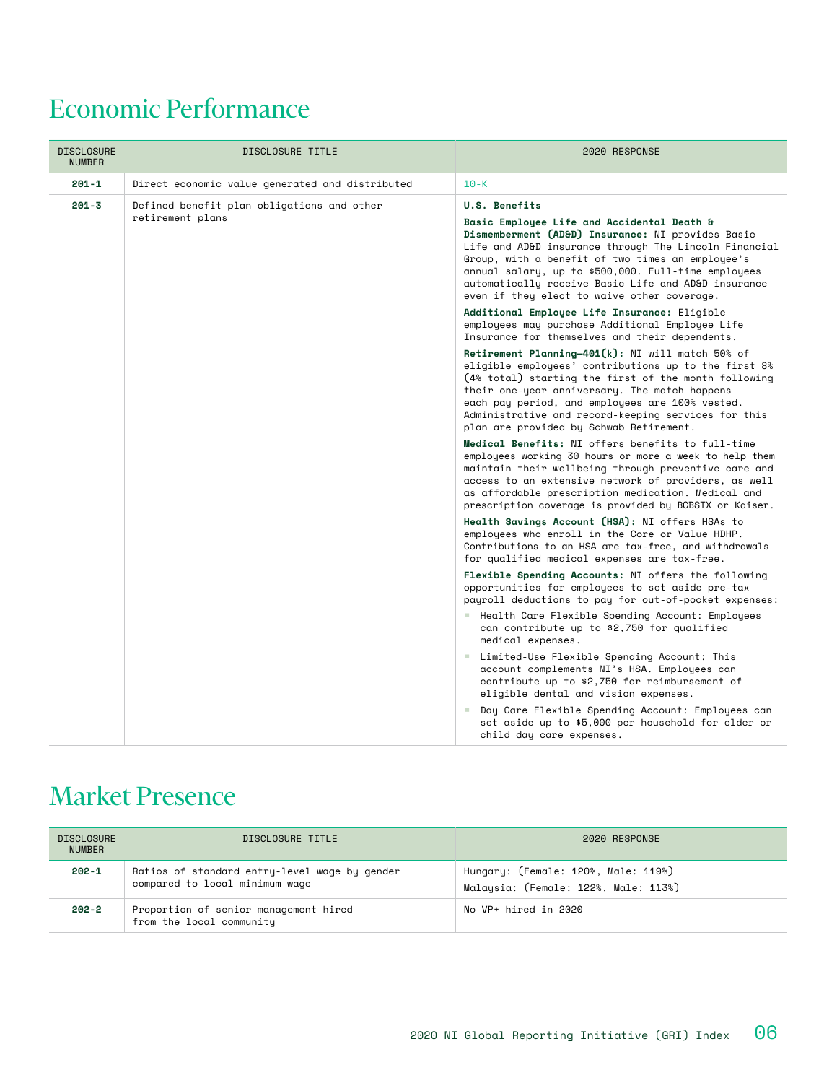## Economic Performance

| <b>DISCLOSURE</b><br><b>NUMBER</b> | DISCLOSURE TITLE                                               | 2020 RESPONSE                                                                                                                                                                                                                                                                                                                                                          |
|------------------------------------|----------------------------------------------------------------|------------------------------------------------------------------------------------------------------------------------------------------------------------------------------------------------------------------------------------------------------------------------------------------------------------------------------------------------------------------------|
| $201 - 1$                          | Direct economic value generated and distributed                | $10-K$                                                                                                                                                                                                                                                                                                                                                                 |
| $201 - 3$                          | Defined benefit plan obligations and other<br>retirement plans | U.S. Benefits<br>Basic Employee Life and Accidental Death &<br>Dismemberment (AD&D) Insurance: NI provides Basic<br>Life and AD&D insurance through The Lincoln Financial<br>Group, with a benefit of two times an employee's<br>annual salary, up to \$500,000. Full-time employees                                                                                   |
|                                    |                                                                | automatically receive Basic Life and AD&D insurance<br>even if they elect to waive other coverage.<br>Additional Employee Life Insurance: Eligible<br>employees may purchase Additional Employee Life<br>Insurance for themselves and their dependents.                                                                                                                |
|                                    |                                                                | Retirement Planning-401(k): NI will match 50% of<br>eligible employees' contributions up to the first 8%<br>(4% total) starting the first of the month following<br>their one-year anniversary. The match happens<br>each pay period, and employees are 100% vested.<br>Administrative and record-keeping services for this<br>plan are provided by Schwab Retirement. |
|                                    |                                                                | Medical Benefits: NI offers benefits to full-time<br>employees working 30 hours or more a week to help them<br>maintain their wellbeing through preventive care and<br>access to an extensive network of providers, as well<br>as affordable prescription medication. Medical and<br>prescription coverage is provided by BCBSTX or Kaiser.                            |
|                                    |                                                                | Health Savings Account (HSA): NI offers HSAs to<br>employees who enroll in the Core or Value HDHP.<br>Contributions to an HSA are tax-free, and withdrawals<br>for qualified medical expenses are tax-free.                                                                                                                                                            |
|                                    |                                                                | Flexible Spending Accounts: NI offers the following<br>opportunities for employees to set aside pre-tax<br>payroll deductions to pay for out-of-pocket expenses:                                                                                                                                                                                                       |
|                                    |                                                                | ■ Health Care Flexible Spending Account: Employees<br>can contribute up to \$2,750 for qualified<br>medical expenses.                                                                                                                                                                                                                                                  |
|                                    |                                                                | Limited-Use Flexible Spending Account: This<br><b>COL</b><br>account complements NI's HSA. Employees can<br>contribute up to \$2,750 for reimbursement of<br>eligible dental and vision expenses.                                                                                                                                                                      |
|                                    |                                                                | ■ Day Care Flexible Spending Account: Employees can<br>set aside up to \$5,000 per household for elder or<br>child day care expenses.                                                                                                                                                                                                                                  |

### Market Presence

| <b>DISCLOSURE</b><br><b>NUMBER</b> | DISCLOSURE TITLE                                                                | 2020 RESPONSE                                                               |
|------------------------------------|---------------------------------------------------------------------------------|-----------------------------------------------------------------------------|
| $202 - 1$                          | Ratios of standard entry-level wage by gender<br>compared to local minimum wage | Hungary: (Female: 120%, Male: 119%)<br>Malaysia: (Female: 122%, Male: 113%) |
| 202-2                              | Proportion of senior management hired<br>from the local community               | No VP+ hired in 2020                                                        |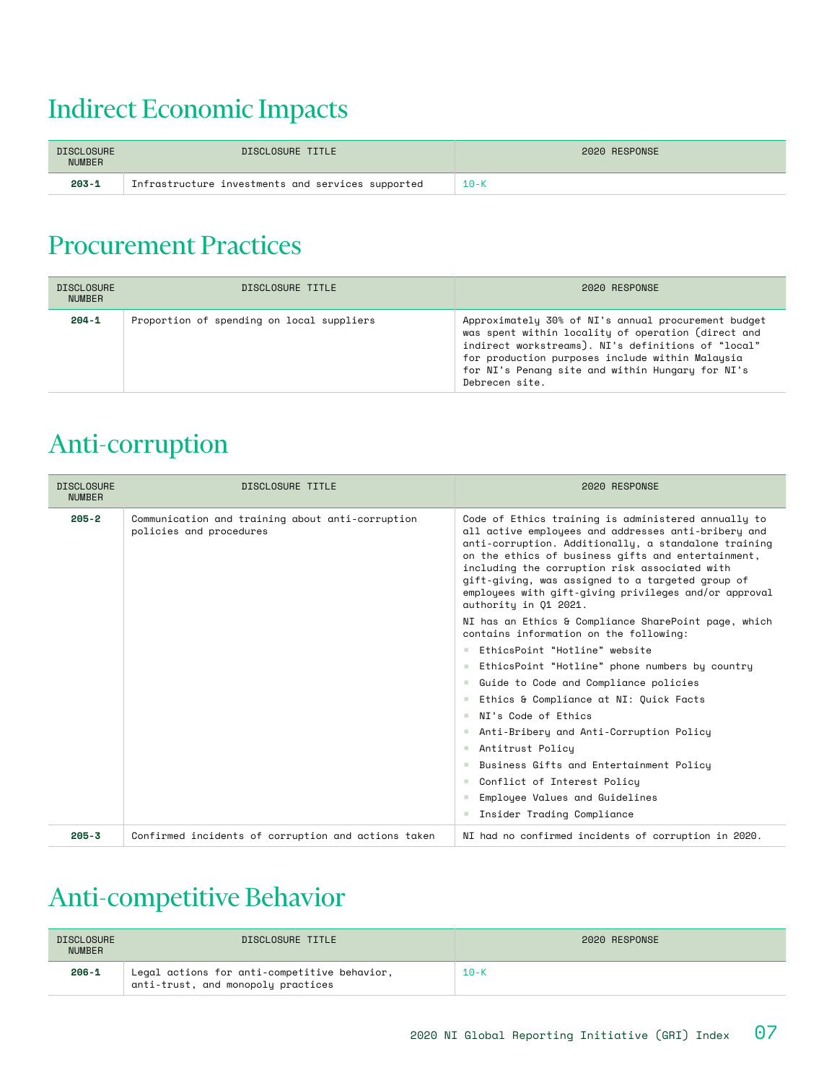#### Indirect Economic Impacts

| <b>DISCLOSURE</b><br><b>NUMBER</b> | DISCLOSURE TITLE                                  | 2020 RESPONSE |
|------------------------------------|---------------------------------------------------|---------------|
| $203 - 1$                          | Infrastructure investments and services supported | $10 - K$      |

#### Procurement Practices

| <b>DISCLOSURE</b><br><b>NUMBER</b> | DISCLOSURE TITLE                          | 2020 RESPONSE                                                                                                                                                                                                                                                                            |
|------------------------------------|-------------------------------------------|------------------------------------------------------------------------------------------------------------------------------------------------------------------------------------------------------------------------------------------------------------------------------------------|
| $204 - 1$                          | Proportion of spending on local suppliers | Approximately 30% of NI's annual procurement budget<br>was spent within locality of operation (direct and<br>indirect workstreams). NI's definitions of "local"<br>for production purposes include within Malaysia<br>for NI's Penang site and within Hungary for NI's<br>Debrecen site. |

### Anti-corruption

| <b>DISCLOSURE</b><br><b>NUMBER</b> | DISCLOSURE TITLE                                                            | 2020 RESPONSE                                                                                                                                                                                                                                                                                                                                                                                                   |
|------------------------------------|-----------------------------------------------------------------------------|-----------------------------------------------------------------------------------------------------------------------------------------------------------------------------------------------------------------------------------------------------------------------------------------------------------------------------------------------------------------------------------------------------------------|
| $205 - 2$                          | Communication and training about anti-corruption<br>policies and procedures | Code of Ethics training is administered annually to<br>all active employees and addresses anti-bribery and<br>anti-corruption. Additionally, a standalone training<br>on the ethics of business gifts and entertainment,<br>including the corruption risk associated with<br>gift-giving, was assigned to a targeted group of<br>employees with gift-giving privileges and/or approval<br>authority in Q1 2021. |
|                                    |                                                                             | NI has an Ethics & Compliance SharePoint page, which<br>contains information on the following:                                                                                                                                                                                                                                                                                                                  |
|                                    |                                                                             | EthicsPoint "Hotline" website<br><b>STATE</b>                                                                                                                                                                                                                                                                                                                                                                   |
|                                    |                                                                             | EthicsPoint "Hotline" phone numbers by country                                                                                                                                                                                                                                                                                                                                                                  |
|                                    |                                                                             | ■ Guide to Code and Compliance policies                                                                                                                                                                                                                                                                                                                                                                         |
|                                    |                                                                             | Ethics & Compliance at NI: Quick Facts                                                                                                                                                                                                                                                                                                                                                                          |
|                                    |                                                                             | NI's Code of Ethics<br><b>COLOR</b>                                                                                                                                                                                                                                                                                                                                                                             |
|                                    |                                                                             | Anti-Bribery and Anti-Corruption Policy                                                                                                                                                                                                                                                                                                                                                                         |
|                                    |                                                                             | Antitrust Policy<br><b>Contractor</b>                                                                                                                                                                                                                                                                                                                                                                           |
|                                    |                                                                             | Business Gifts and Entertainment Policy                                                                                                                                                                                                                                                                                                                                                                         |
|                                    |                                                                             | Conflict of Interest Policu                                                                                                                                                                                                                                                                                                                                                                                     |
|                                    |                                                                             | Employee Values and Guidelines                                                                                                                                                                                                                                                                                                                                                                                  |
|                                    |                                                                             | Insider Trading Compliance                                                                                                                                                                                                                                                                                                                                                                                      |
| $205 - 3$                          | Confirmed incidents of corruption and actions taken                         | NI had no confirmed incidents of corruption in 2020.                                                                                                                                                                                                                                                                                                                                                            |

### Anti-competitive Behavior

| <b>DISCLOSURE</b><br><b>NUMBER</b> | DISCLOSURE TITLE                                                                   | 2020 RESPONSE |
|------------------------------------|------------------------------------------------------------------------------------|---------------|
| $206 - 1$                          | Legal actions for anti-competitive behavior,<br>anti-trust, and monopoly practices | $10-K$        |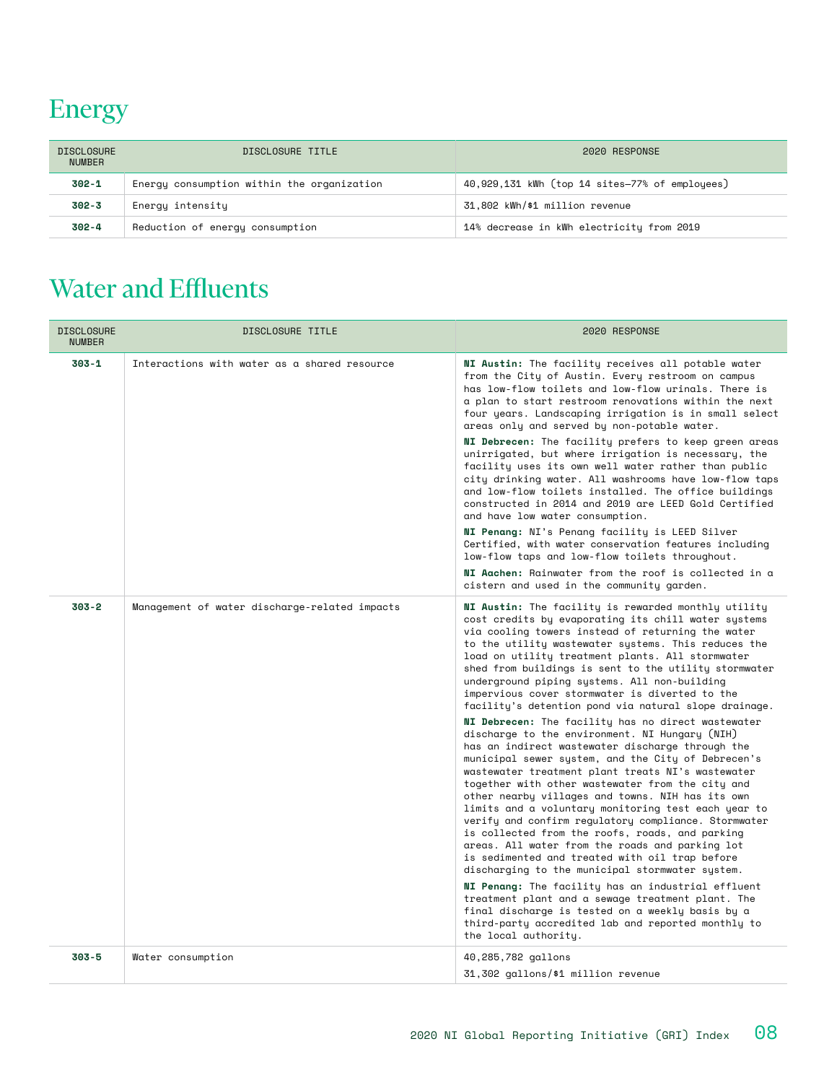# Energy

| <b>DISCLOSURE</b><br><b>NUMBER</b> | DISCLOSURE TITLE                           | 2020 RESPONSE                                  |
|------------------------------------|--------------------------------------------|------------------------------------------------|
| 302-1                              | Energy consumption within the organization | 40,929,131 kWh (top 14 sites-77% of employees) |
| 302-3                              | Energy intensity                           | 31,802 kWh/\$1 million revenue                 |
| $302 - 4$                          | Reduction of energy consumption            | 14% decrease in kWh electricity from 2019      |

# Water and Effluents

| <b>DISCLOSURE</b><br><b>NUMBER</b> | DISCLOSURE TITLE                              | 2020 RESPONSE                                                                                                                                                                                                                                                                                                                                                                                                                                                                                                                                                                                                                                                                                                                                                                                                                                                                                                                                                                                                                                                                                                                                                                                                                                                                                                                                                                                                                                        |  |  |  |
|------------------------------------|-----------------------------------------------|------------------------------------------------------------------------------------------------------------------------------------------------------------------------------------------------------------------------------------------------------------------------------------------------------------------------------------------------------------------------------------------------------------------------------------------------------------------------------------------------------------------------------------------------------------------------------------------------------------------------------------------------------------------------------------------------------------------------------------------------------------------------------------------------------------------------------------------------------------------------------------------------------------------------------------------------------------------------------------------------------------------------------------------------------------------------------------------------------------------------------------------------------------------------------------------------------------------------------------------------------------------------------------------------------------------------------------------------------------------------------------------------------------------------------------------------------|--|--|--|
| $303 - 1$                          | Interactions with water as a shared resource  | NI Austin: The facility receives all potable water<br>from the City of Austin. Every restroom on campus<br>has low-flow toilets and low-flow urinals. There is<br>a plan to start restroom renovations within the next<br>four years. Landscaping irrigation is in small select<br>areas only and served by non-potable water.<br>NI Debrecen: The facility prefers to keep green areas<br>unirrigated, but where irrigation is necessary, the<br>facility uses its own well water rather than public<br>city drinking water. All washrooms have low-flow taps<br>and low-flow toilets installed. The office buildings<br>constructed in 2014 and 2019 are LEED Gold Certified<br>and have low water consumption.<br>NI Penang: NI's Penang facility is LEED Silver<br>Certified, with water conservation features including<br>low-flow taps and low-flow toilets throughout.<br>NI Aachen: Rainwater from the roof is collected in a<br>cistern and used in the community garden.                                                                                                                                                                                                                                                                                                                                                                                                                                                                  |  |  |  |
| $303 - 2$                          | Management of water discharge-related impacts | NI Austin: The facility is rewarded monthly utility<br>cost credits by evaporating its chill water systems<br>via cooling towers instead of returning the water<br>to the utility wastewater systems. This reduces the<br>load on utility treatment plants. All stormwater<br>shed from buildings is sent to the utility stormwater<br>underground piping systems. All non-building<br>impervious cover stormwater is diverted to the<br>facility's detention pond via natural slope drainage.<br>NI Debrecen: The facility has no direct wastewater<br>discharge to the environment. NI Hungary (NIH)<br>has an indirect wastewater discharge through the<br>municipal sewer system, and the City of Debrecen's<br>wastewater treatment plant treats NI's wastewater<br>together with other wastewater from the city and<br>other nearby villages and towns. NIH has its own<br>limits and a voluntary monitoring test each year to<br>verify and confirm requlatory compliance. Stormwater<br>is collected from the roofs, roads, and parking<br>areas. All water from the roads and parking lot<br>is sedimented and treated with oil trap before<br>discharging to the municipal stormwater system.<br>NI Penang: The facility has an industrial effluent<br>treatment plant and a sewage treatment plant. The<br>final discharge is tested on a weekly basis by a<br>third-party accredited lab and reported monthly to<br>the local authority. |  |  |  |
| $303 - 5$                          | Water consumption                             | 40,285,782 gallons<br>31,302 gallons/\$1 million revenue                                                                                                                                                                                                                                                                                                                                                                                                                                                                                                                                                                                                                                                                                                                                                                                                                                                                                                                                                                                                                                                                                                                                                                                                                                                                                                                                                                                             |  |  |  |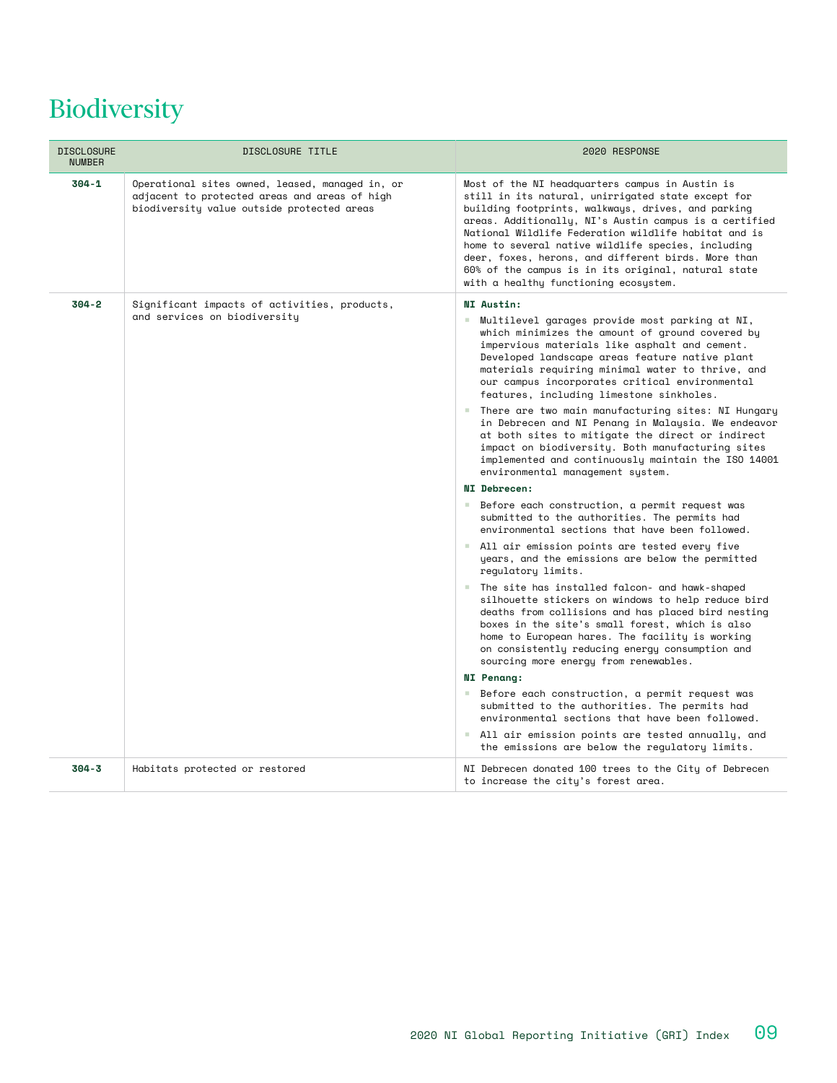# Biodiversity

| <b>DISCLOSURE</b><br><b>NUMBER</b> | DISCLOSURE TITLE                                                                                                                               | 2020 RESPONSE                                                                                                                                                                                                                                                                                                                                                                                                                                                                              |
|------------------------------------|------------------------------------------------------------------------------------------------------------------------------------------------|--------------------------------------------------------------------------------------------------------------------------------------------------------------------------------------------------------------------------------------------------------------------------------------------------------------------------------------------------------------------------------------------------------------------------------------------------------------------------------------------|
| $304 - 1$                          | Operational sites owned, leased, managed in, or<br>adjacent to protected areas and areas of high<br>biodiversity value outside protected areas | Most of the NI headquarters campus in Austin is<br>still in its natural, unirrigated state except for<br>building footprints, walkways, drives, and parking<br>areas. Additionally, NI's Austin campus is a certified<br>National Wildlife Federation wildlife habitat and is<br>home to several native wildlife species, including<br>deer, foxes, herons, and different birds. More than<br>60% of the campus is in its original, natural state<br>with a healthy functioning ecosystem. |
| $304 - 2$                          | Significant impacts of activities, products,                                                                                                   | NI Austin:                                                                                                                                                                                                                                                                                                                                                                                                                                                                                 |
|                                    | and services on biodiversity                                                                                                                   | Multilevel garages provide most parking at NI,<br>a.<br>which minimizes the amount of ground covered by<br>impervious materials like asphalt and cement.<br>Developed landscape areas feature native plant<br>materials requiring minimal water to thrive, and<br>our campus incorporates critical environmental<br>features, including limestone sinkholes.                                                                                                                               |
|                                    |                                                                                                                                                | ■ There are two main manufacturing sites: NI Hungary<br>in Debrecen and NI Penang in Malaysia. We endeavor<br>at both sites to mitigate the direct or indirect<br>impact on biodiversity. Both manufacturing sites<br>implemented and continuously maintain the ISO 14001<br>environmental management system.                                                                                                                                                                              |
|                                    |                                                                                                                                                | NI Debrecen:                                                                                                                                                                                                                                                                                                                                                                                                                                                                               |
|                                    |                                                                                                                                                | ■ Before each construction, a permit request was<br>submitted to the authorities. The permits had<br>environmental sections that have been followed.                                                                                                                                                                                                                                                                                                                                       |
|                                    |                                                                                                                                                | ■ All air emission points are tested every five<br>years, and the emissions are below the permitted<br>requlatory limits.                                                                                                                                                                                                                                                                                                                                                                  |
|                                    |                                                                                                                                                | ■ The site has installed falcon- and hawk-shaped<br>silhouette stickers on windows to help reduce bird<br>deaths from collisions and has placed bird nesting<br>boxes in the site's small forest, which is also<br>home to European hares. The facility is working<br>on consistently reducing energy consumption and<br>sourcing more energy from renewables.                                                                                                                             |
|                                    |                                                                                                                                                | <b>NI</b> Penang:                                                                                                                                                                                                                                                                                                                                                                                                                                                                          |
|                                    |                                                                                                                                                | Before each construction, a permit request was<br><b>COL</b><br>submitted to the authorities. The permits had<br>environmental sections that have been followed.                                                                                                                                                                                                                                                                                                                           |
|                                    |                                                                                                                                                | All air emission points are tested annually, and<br>the emissions are below the requlatory limits.                                                                                                                                                                                                                                                                                                                                                                                         |
| $304 - 3$                          | Habitats protected or restored                                                                                                                 | NI Debrecen donated 100 trees to the City of Debrecen<br>to increase the city's forest area.                                                                                                                                                                                                                                                                                                                                                                                               |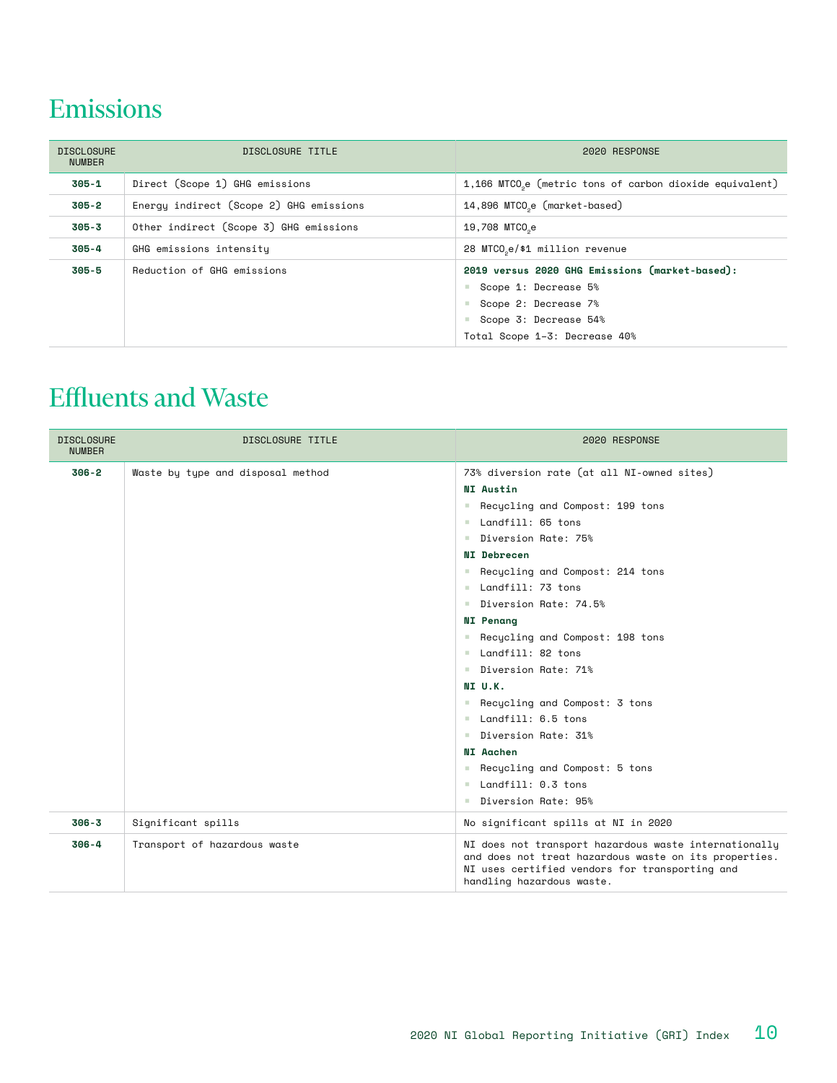#### Emissions

| <b>DISCLOSURE</b><br><b>NUMBER</b> | DISCLOSURE TITLE                        | 2020 RESPONSE                                                                                                                                                          |  |  |
|------------------------------------|-----------------------------------------|------------------------------------------------------------------------------------------------------------------------------------------------------------------------|--|--|
| 305-1                              | Direct (Scope 1) GHG emissions          | 1,166 MTCO <sub>0</sub> e (metric tons of carbon dioxide equivalent)                                                                                                   |  |  |
| 305-2                              | Enerqu indirect (Scope 2) GHG emissions | 14,896 MTCO <sub>2</sub> e (market-based)                                                                                                                              |  |  |
| $305 - 3$                          | Other indirect (Scope 3) GHG emissions  | 19,708 MTCO <sub>0</sub> e                                                                                                                                             |  |  |
| $305 - 4$                          | GHG emissions intensity                 | 28 MTCO <sub>se</sub> /\$1 million revenue                                                                                                                             |  |  |
| $305 - 5$                          | Reduction of GHG emissions              | 2019 versus 2020 GHG Emissions (market-based):<br>■ Scope 1: Decrease 5%<br>Scope 2: Decrease 7%<br>a.<br>Scope 3: Decrease 54%<br>a.<br>Total Scope 1-3: Decrease 40% |  |  |

#### Effluents and Waste

| <b>DISCLOSURE</b><br><b>NUMBER</b> | DISCLOSURE TITLE                  | 2020 RESPONSE                                                                                                                                                                                                                                                                                                                                                                                                                                                                                                                                                        |
|------------------------------------|-----------------------------------|----------------------------------------------------------------------------------------------------------------------------------------------------------------------------------------------------------------------------------------------------------------------------------------------------------------------------------------------------------------------------------------------------------------------------------------------------------------------------------------------------------------------------------------------------------------------|
| $306 - 2$                          | Waste by type and disposal method | 73% diversion rate (at all NI-owned sites)<br>NI Austin<br>Recycling and Compost: 199 tons<br><b>College</b><br>Landfill: 65 tons<br>Diversion Rate: 75%<br>NI Debrecen<br>Recycling and Compost: 214 tons<br>Landfill: 73 tons<br>Diversion Rate: 74.5%<br><b>NI</b> Penang<br>Recycling and Compost: 198 tons<br>Landfill: 82 tons<br>Diversion Rate: 71%<br>NI U.K.<br>Recycling and Compost: 3 tons<br>Landfill: 6.5 tons<br>Diversion Rate: 31%<br>NI Aachen<br>Recycling and Compost: 5 tons<br>$\blacksquare$ Landfill: 0.3 tons<br>Diversion Rate: 95%<br>a. |
| $306 - 3$                          | Significant spills                | No significant spills at NI in 2020                                                                                                                                                                                                                                                                                                                                                                                                                                                                                                                                  |
| $306 - 4$                          | Transport of hazardous waste      | NI does not transport hazardous waste internationally<br>and does not treat hazardous waste on its properties.<br>NI uses certified vendors for transporting and<br>handling hazardous waste.                                                                                                                                                                                                                                                                                                                                                                        |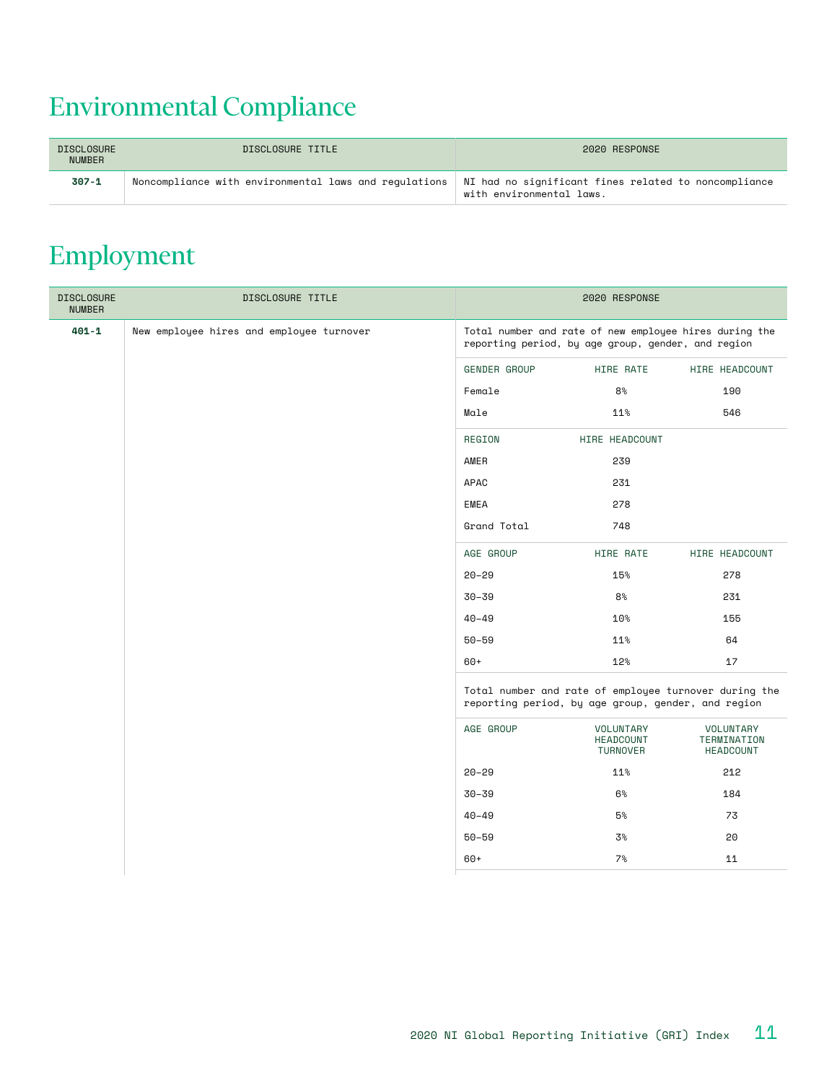# Environmental Compliance

| <b>DISCLOSURE</b><br><b>NUMBER</b> | DISCLOSURE TITLE                                                                                             | 2020 RESPONSE            |
|------------------------------------|--------------------------------------------------------------------------------------------------------------|--------------------------|
| $307 - 1$                          | Noncompliance with environmental laws and regulations   NI had no significant fines related to noncompliance | with environmental laws. |

#### Employment

| <b>DISCLOSURE</b><br><b>NUMBER</b> | DISCLOSURE TITLE                         | 2020 RESPONSE |                                                                                                              |                                       |  |
|------------------------------------|------------------------------------------|---------------|--------------------------------------------------------------------------------------------------------------|---------------------------------------|--|
| $401 - 1$                          | New employee hires and employee turnover |               | Total number and rate of new employee hires during the<br>reporting period, by age group, gender, and region |                                       |  |
|                                    |                                          | GENDER GROUP  | HIRE RATE                                                                                                    | HIRE HEADCOUNT                        |  |
|                                    |                                          | Female        | 8 <sup>°</sup>                                                                                               | 190                                   |  |
|                                    |                                          | Male          | 11%                                                                                                          | 546                                   |  |
|                                    |                                          | REGION        | HIRE HEADCOUNT                                                                                               |                                       |  |
|                                    |                                          | AMER          | 239                                                                                                          |                                       |  |
|                                    |                                          | APAC          | 231                                                                                                          |                                       |  |
|                                    |                                          | EMEA          | 278                                                                                                          |                                       |  |
|                                    |                                          | Grand Total   | 748                                                                                                          |                                       |  |
|                                    |                                          | AGE GROUP     | HIRE RATE                                                                                                    | HIRE HEADCOUNT                        |  |
|                                    |                                          | $20 - 29$     | 15%                                                                                                          | 278                                   |  |
|                                    |                                          | $30 - 39$     | 8 <sup>°</sup>                                                                                               | 231                                   |  |
|                                    |                                          | $40 - 49$     | 10 <sup>°</sup>                                                                                              | 155                                   |  |
|                                    |                                          | $50 - 59$     | 11%                                                                                                          | 64                                    |  |
|                                    |                                          | $60+$         | 12%                                                                                                          | 17                                    |  |
|                                    |                                          |               | Total number and rate of employee turnover during the<br>reporting period, by age group, gender, and region  |                                       |  |
|                                    |                                          | AGE GROUP     | VOLUNTARY<br><b>HEADCOUNT</b><br>TURNOVER                                                                    | VOLUNTARY<br>TERMINATION<br>HEADCOUNT |  |
|                                    |                                          | $20 - 29$     | 11%                                                                                                          | 212                                   |  |
|                                    |                                          | $30 - 39$     | 6%                                                                                                           | 184                                   |  |
|                                    |                                          | $40 - 49$     | $5\%$                                                                                                        | 73                                    |  |
|                                    |                                          | $50 - 59$     | 3%                                                                                                           | 20                                    |  |
|                                    |                                          | $60+$         | 7%                                                                                                           | 11                                    |  |
|                                    |                                          |               |                                                                                                              |                                       |  |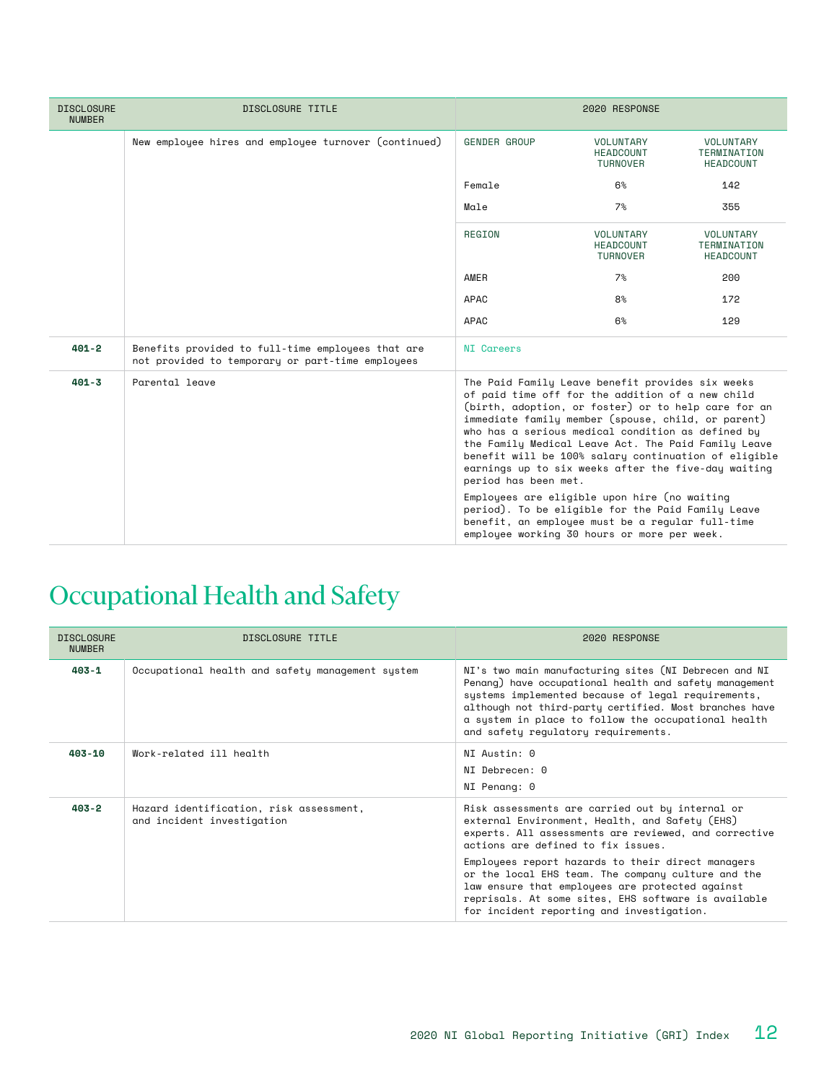| <b>DISCLOSURE</b><br><b>NUMBER</b> | DISCLOSURE TITLE                                                                                      | 2020 RESPONSE                                                                                                                                                                                                                                                                                                                                                                                                                                                                                                                                                                                                                                                                |                                                  |                                              |  |
|------------------------------------|-------------------------------------------------------------------------------------------------------|------------------------------------------------------------------------------------------------------------------------------------------------------------------------------------------------------------------------------------------------------------------------------------------------------------------------------------------------------------------------------------------------------------------------------------------------------------------------------------------------------------------------------------------------------------------------------------------------------------------------------------------------------------------------------|--------------------------------------------------|----------------------------------------------|--|
|                                    | New employee hires and employee turnover (continued)                                                  | <b>GENDER GROUP</b>                                                                                                                                                                                                                                                                                                                                                                                                                                                                                                                                                                                                                                                          | VOLUNTARY<br><b>HEADCOUNT</b><br>TURNOVER        | VOLUNTARY<br>TERMINATION<br><b>HEADCOUNT</b> |  |
|                                    |                                                                                                       | Female                                                                                                                                                                                                                                                                                                                                                                                                                                                                                                                                                                                                                                                                       | 6%                                               | 142                                          |  |
|                                    |                                                                                                       | Male                                                                                                                                                                                                                                                                                                                                                                                                                                                                                                                                                                                                                                                                         | 7%                                               | 355                                          |  |
|                                    |                                                                                                       | REGION                                                                                                                                                                                                                                                                                                                                                                                                                                                                                                                                                                                                                                                                       | VOLUNTARY<br><b>HEADCOUNT</b><br><b>TURNOVER</b> | VOLUNTARY<br>TERMINATION<br><b>HEADCOUNT</b> |  |
|                                    |                                                                                                       | AMER                                                                                                                                                                                                                                                                                                                                                                                                                                                                                                                                                                                                                                                                         | 7%                                               | 200                                          |  |
|                                    |                                                                                                       | APAC                                                                                                                                                                                                                                                                                                                                                                                                                                                                                                                                                                                                                                                                         | 8 <sup>°</sup>                                   | 172                                          |  |
|                                    |                                                                                                       | APAC                                                                                                                                                                                                                                                                                                                                                                                                                                                                                                                                                                                                                                                                         | 6%                                               | 129                                          |  |
| $401 - 2$                          | Benefits provided to full-time employees that are<br>not provided to temporary or part-time employees | <b>NI</b> Careers                                                                                                                                                                                                                                                                                                                                                                                                                                                                                                                                                                                                                                                            |                                                  |                                              |  |
| $401 - 3$                          | Parental leave                                                                                        | The Paid Family Leave benefit provides six weeks<br>of paid time off for the addition of a new child<br>(birth, adoption, or foster) or to help care for an<br>immediate family member (spouse, child, or parent)<br>who has a serious medical condition as defined by<br>the Family Medical Leave Act. The Paid Family Leave<br>benefit will be 100% salary continuation of eligible<br>earnings up to six weeks after the five-day waiting<br>period has been met.<br>Employees are eligible upon hire (no waiting<br>period). To be eligible for the Paid Family Leave<br>benefit, an employee must be a reqular full-time<br>emplouee working 30 hours or more per week. |                                                  |                                              |  |

# Occupational Health and Safety

| <b>DISCLOSURE</b><br><b>NUMBER</b> | DISCLOSURE TITLE                                                      | 2020 RESPONSE                                                                                                                                                                                                                                                                                                                 |
|------------------------------------|-----------------------------------------------------------------------|-------------------------------------------------------------------------------------------------------------------------------------------------------------------------------------------------------------------------------------------------------------------------------------------------------------------------------|
| $403 - 1$                          | Occupational health and safety management system                      | NI's two main manufacturing sites (NI Debrecen and NI<br>Penang) have occupational health and safety management<br>systems implemented because of legal requirements,<br>although not third-party certified. Most branches have<br>a system in place to follow the occupational health<br>and safety regulatory requirements. |
| $403 - 10$                         | Work-related ill health                                               | NI Austin: 0<br>NI Debrecen: 0<br>NI Penang: 0                                                                                                                                                                                                                                                                                |
| $403 - 2$                          | Hazard identification, risk assessment,<br>and incident investigation | Risk assessments are carried out by internal or<br>external Environment, Health, and Safety (EHS)<br>experts. All assessments are reviewed, and corrective<br>actions are defined to fix issues.                                                                                                                              |
|                                    |                                                                       | Employees report hazards to their direct managers<br>or the local EHS team. The company culture and the<br>law ensure that employees are protected against<br>reprisals. At some sites, EHS software is available<br>for incident reporting and investigation.                                                                |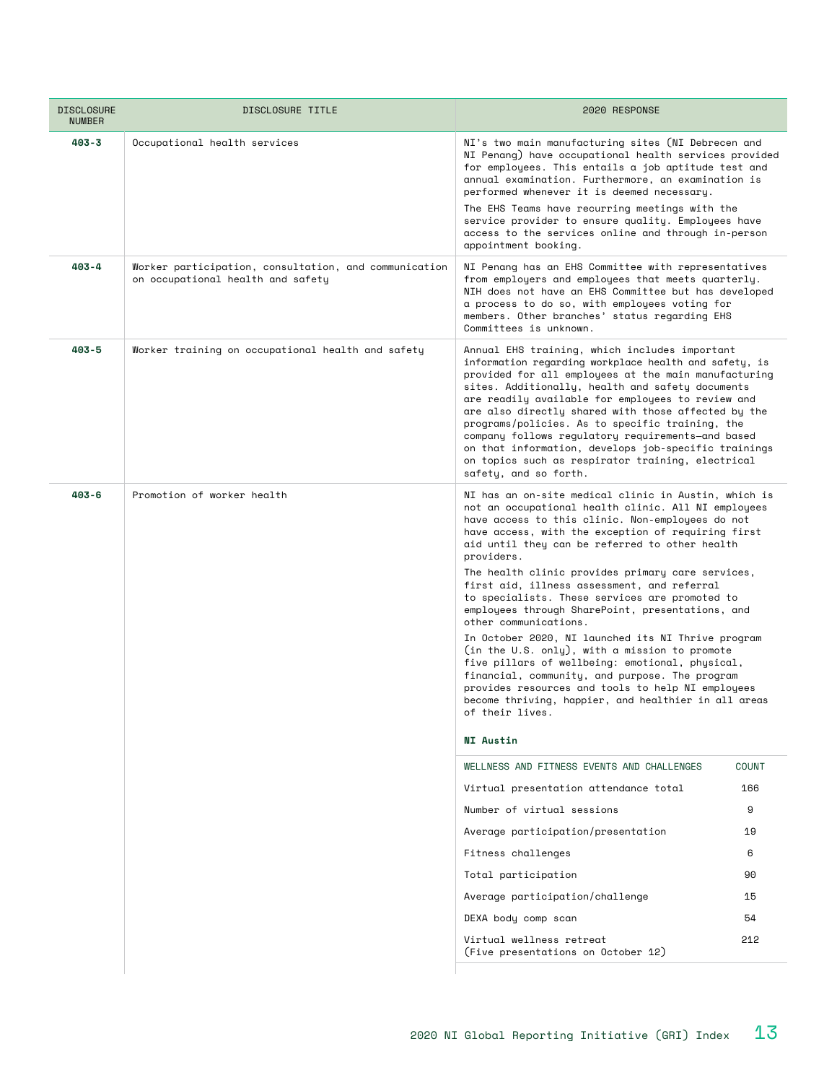| <b>DISCLOSURE</b><br><b>NUMBER</b> | DISCLOSURE TITLE                                                                           | 2020 RESPONSE                                                                                                                                                                                                                                                                                                                                                                                                                                                                                                                                                                                                                                                                                                                                                                                                                                                                            |              |  |  |
|------------------------------------|--------------------------------------------------------------------------------------------|------------------------------------------------------------------------------------------------------------------------------------------------------------------------------------------------------------------------------------------------------------------------------------------------------------------------------------------------------------------------------------------------------------------------------------------------------------------------------------------------------------------------------------------------------------------------------------------------------------------------------------------------------------------------------------------------------------------------------------------------------------------------------------------------------------------------------------------------------------------------------------------|--------------|--|--|
| $403 - 3$                          | Occupational health services                                                               | NI's two main manufacturing sites (NI Debrecen and<br>NI Penang) have occupational health services provided<br>for employees. This entails a job aptitude test and<br>annual examination. Furthermore, an examination is<br>performed whenever it is deemed necessary.<br>The EHS Teams have recurring meetings with the<br>service provider to ensure quality. Employees have<br>access to the services online and through in-person<br>appointment booking.                                                                                                                                                                                                                                                                                                                                                                                                                            |              |  |  |
| $403 - 4$                          | Worker participation, consultation, and communication<br>on occupational health and safety | NI Penang has an EHS Committee with representatives<br>from employers and employees that meets quarterly.<br>NIH does not have an EHS Committee but has developed<br>a process to do so, with employees voting for<br>members. Other branches' status regarding EHS<br>Committees is unknown.                                                                                                                                                                                                                                                                                                                                                                                                                                                                                                                                                                                            |              |  |  |
| $403 - 5$                          | Worker training on occupational health and safety                                          | Annual EHS training, which includes important<br>information regarding workplace health and safety, is<br>provided for all employees at the main manufacturing<br>sites. Additionally, health and safety documents<br>are readily available for employees to review and<br>are also directly shared with those affected by the<br>programs/policies. As to specific training, the<br>company follows regulatory requirements-and based<br>on that information, develops job-specific trainings<br>on topics such as respirator training, electrical<br>safety, and so forth.                                                                                                                                                                                                                                                                                                             |              |  |  |
| $403 - 6$                          | Promotion of worker health                                                                 | NI has an on-site medical clinic in Austin, which is<br>not an occupational health clinic. All NI employees<br>have access to this clinic. Non-employees do not<br>have access, with the exception of requiring first<br>aid until they can be referred to other health<br>providers.<br>The health clinic provides primary care services,<br>first aid, illness assessment, and referral<br>to specialists. These services are promoted to<br>employees through SharePoint, presentations, and<br>other communications.<br>In October 2020, NI launched its NI Thrive program<br>(in the U.S. only), with a mission to promote<br>five pillars of wellbeing: emotional, physical,<br>financial, community, and purpose. The program<br>provides resources and tools to help NI employees<br>become thriving, happier, and healthier in all areas<br>of their lives.<br><b>NI Austin</b> |              |  |  |
|                                    |                                                                                            | WELLNESS AND FITNESS EVENTS AND CHALLENGES                                                                                                                                                                                                                                                                                                                                                                                                                                                                                                                                                                                                                                                                                                                                                                                                                                               | <b>COUNT</b> |  |  |
|                                    |                                                                                            | Virtual presentation attendance total                                                                                                                                                                                                                                                                                                                                                                                                                                                                                                                                                                                                                                                                                                                                                                                                                                                    | 166          |  |  |
|                                    |                                                                                            | Number of virtual sessions                                                                                                                                                                                                                                                                                                                                                                                                                                                                                                                                                                                                                                                                                                                                                                                                                                                               | 9            |  |  |
|                                    |                                                                                            | Average participation/presentation                                                                                                                                                                                                                                                                                                                                                                                                                                                                                                                                                                                                                                                                                                                                                                                                                                                       | 19           |  |  |
|                                    |                                                                                            | Fitness challenges                                                                                                                                                                                                                                                                                                                                                                                                                                                                                                                                                                                                                                                                                                                                                                                                                                                                       | 6            |  |  |
|                                    |                                                                                            | Total participation                                                                                                                                                                                                                                                                                                                                                                                                                                                                                                                                                                                                                                                                                                                                                                                                                                                                      | 90           |  |  |
|                                    |                                                                                            | Average participation/challenge                                                                                                                                                                                                                                                                                                                                                                                                                                                                                                                                                                                                                                                                                                                                                                                                                                                          |              |  |  |
|                                    |                                                                                            | DEXA body comp scan                                                                                                                                                                                                                                                                                                                                                                                                                                                                                                                                                                                                                                                                                                                                                                                                                                                                      | 54           |  |  |
|                                    |                                                                                            | Virtual wellness retreat<br>(Five presentations on October 12)                                                                                                                                                                                                                                                                                                                                                                                                                                                                                                                                                                                                                                                                                                                                                                                                                           | 212          |  |  |
|                                    |                                                                                            |                                                                                                                                                                                                                                                                                                                                                                                                                                                                                                                                                                                                                                                                                                                                                                                                                                                                                          |              |  |  |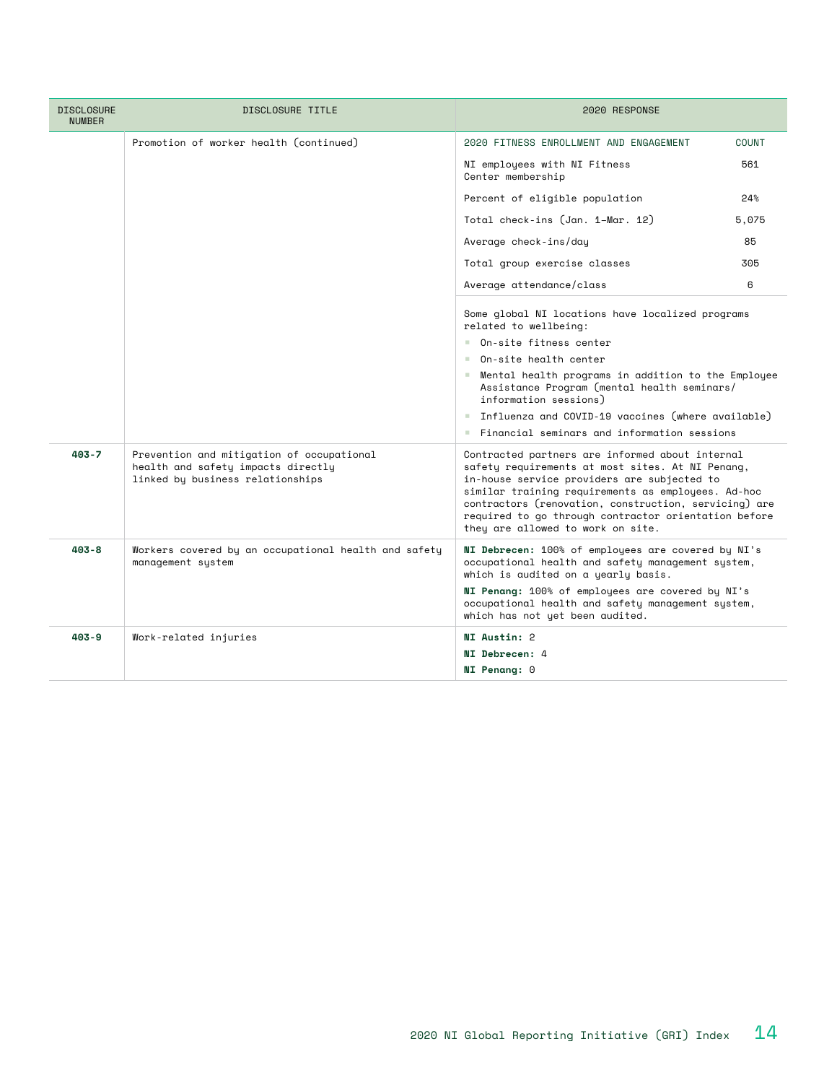| <b>DISCLOSURE</b><br><b>NUMBER</b> | DISCLOSURE TITLE                                                                                                    | 2020 RESPONSE                                                                                                                                                                                                                                                                                                                                                  |       |  |
|------------------------------------|---------------------------------------------------------------------------------------------------------------------|----------------------------------------------------------------------------------------------------------------------------------------------------------------------------------------------------------------------------------------------------------------------------------------------------------------------------------------------------------------|-------|--|
|                                    | Promotion of worker health (continued)                                                                              | 2020 FITNESS ENROLLMENT AND ENGAGEMENT                                                                                                                                                                                                                                                                                                                         | COUNT |  |
|                                    |                                                                                                                     | NI employees with NI Fitness<br>Center membership                                                                                                                                                                                                                                                                                                              | 561   |  |
|                                    |                                                                                                                     | Percent of eligible population                                                                                                                                                                                                                                                                                                                                 | 24%   |  |
|                                    |                                                                                                                     | Total check-ins (Jan. 1–Mar. 12)                                                                                                                                                                                                                                                                                                                               | 5,075 |  |
|                                    |                                                                                                                     | Average check-ins/day                                                                                                                                                                                                                                                                                                                                          |       |  |
|                                    |                                                                                                                     | Total group exercise classes                                                                                                                                                                                                                                                                                                                                   |       |  |
|                                    |                                                                                                                     | Average attendance/class                                                                                                                                                                                                                                                                                                                                       | 6     |  |
|                                    |                                                                                                                     | Some global NI locations have localized programs<br>related to wellbeing:                                                                                                                                                                                                                                                                                      |       |  |
|                                    |                                                                                                                     | On-site fitness center                                                                                                                                                                                                                                                                                                                                         |       |  |
|                                    |                                                                                                                     | On-site health center<br><b>COLLEGE</b><br>Mental health programs in addition to the Employee<br>Assistance Program (mental health seminars/<br>information sessions)                                                                                                                                                                                          |       |  |
|                                    |                                                                                                                     |                                                                                                                                                                                                                                                                                                                                                                |       |  |
|                                    |                                                                                                                     | Influenza and COVID-19 vaccines (where available)                                                                                                                                                                                                                                                                                                              |       |  |
|                                    |                                                                                                                     | $\blacksquare$ Financial seminars and information sessions                                                                                                                                                                                                                                                                                                     |       |  |
| $403 - 7$                          | Prevention and mitigation of occupational<br>health and safety impacts directly<br>linked by business relationships | Contracted partners are informed about internal<br>safety requirements at most sites. At NI Penang,<br>in-house service providers are subjected to<br>similar training requirements as employees. Ad-hoc<br>contractors (renovation, construction, servicing) are<br>required to go through contractor orientation before<br>they are allowed to work on site. |       |  |
| $403 - 8$                          | Workers covered by an occupational health and safety<br>management system                                           | NI Debrecen: 100% of employees are covered by NI's<br>occupational health and safety management system,<br>which is audited on a yearly basis.<br>NI Penang: 100% of employees are covered by NI's<br>occupational health and safety management system,<br>which has not yet been audited.                                                                     |       |  |
| $403 - 9$                          | Work-related injuries                                                                                               | <b>NI Austin: 2</b>                                                                                                                                                                                                                                                                                                                                            |       |  |
|                                    |                                                                                                                     | <b>NI Debrecen: 4</b>                                                                                                                                                                                                                                                                                                                                          |       |  |
|                                    |                                                                                                                     | <b>NI Penang: 0</b>                                                                                                                                                                                                                                                                                                                                            |       |  |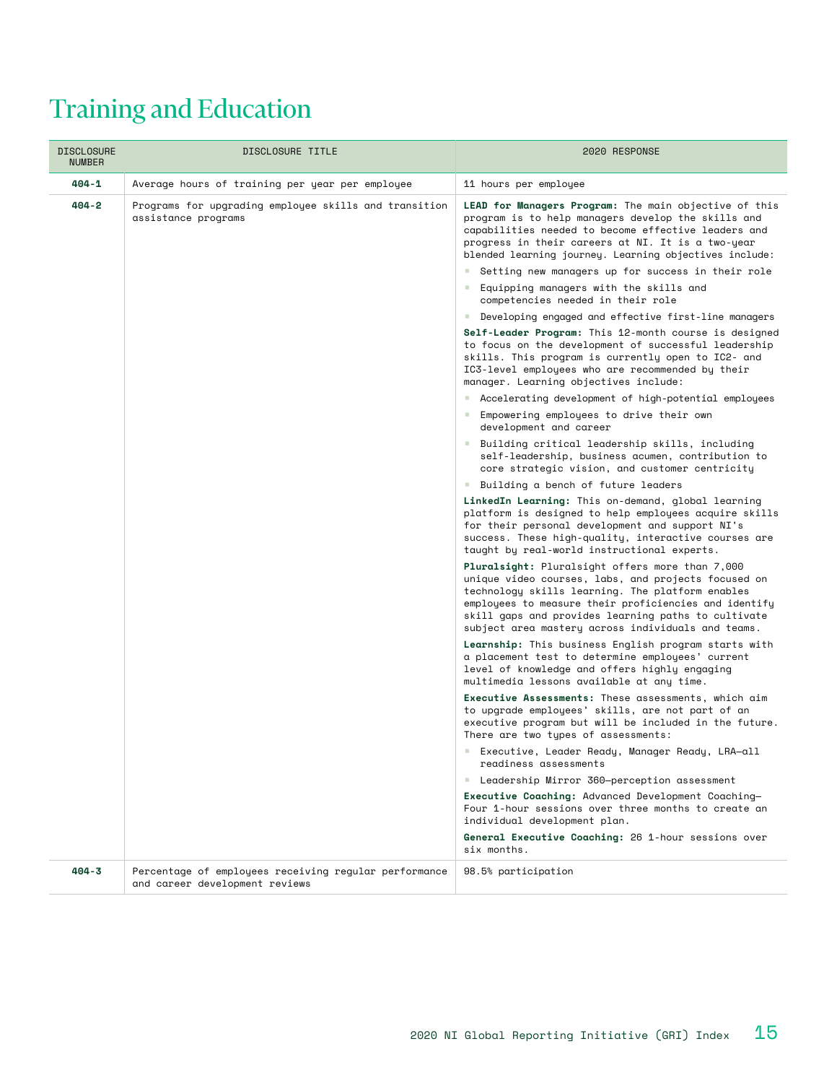# Training and Education

| <b>DISCLOSURE</b><br><b>NUMBER</b> | DISCLOSURE TITLE                                                                        | 2020 RESPONSE                                                                                                                                                                                                                                                                                                                                                                          |  |  |
|------------------------------------|-----------------------------------------------------------------------------------------|----------------------------------------------------------------------------------------------------------------------------------------------------------------------------------------------------------------------------------------------------------------------------------------------------------------------------------------------------------------------------------------|--|--|
| 404-1                              | Average hours of training per year per employee                                         | 11 hours per employee                                                                                                                                                                                                                                                                                                                                                                  |  |  |
| 404-2                              | Programs for upgrading employee skills and transition<br>assistance programs            | LEAD for Managers Program: The main objective of this<br>program is to help managers develop the skills and<br>capabilities needed to become effective leaders and<br>progress in their careers at NI. It is a two-year<br>blended learning journey. Learning objectives include:<br>Setting new managers up for success in their role<br>Equipping managers with the skills and<br>a. |  |  |
|                                    |                                                                                         | competencies needed in their role<br>Developing engaged and effective first-line managers<br><b>College</b>                                                                                                                                                                                                                                                                            |  |  |
|                                    |                                                                                         | Self-Leader Program: This 12-month course is designed<br>to focus on the development of successful leadership<br>skills. This program is currently open to IC2- and<br>IC3-level employees who are recommended by their<br>manager. Learning objectives include:                                                                                                                       |  |  |
|                                    |                                                                                         | ■ Accelerating development of high-potential employees                                                                                                                                                                                                                                                                                                                                 |  |  |
|                                    |                                                                                         | Empowering employees to drive their own<br><b>College</b><br>development and career                                                                                                                                                                                                                                                                                                    |  |  |
|                                    |                                                                                         | Building critical leadership skills, including<br>self-leadership, business acumen, contribution to<br>core strategic vision, and customer centricity                                                                                                                                                                                                                                  |  |  |
|                                    |                                                                                         | Building a bench of future leaders<br>a.                                                                                                                                                                                                                                                                                                                                               |  |  |
|                                    |                                                                                         | LinkedIn Learning: This on-demand, global learning<br>platform is designed to help employees acquire skills<br>for their personal development and support NI's<br>success. These high-quality, interactive courses are<br>taught by real-world instructional experts.                                                                                                                  |  |  |
|                                    |                                                                                         | Pluralsight: Pluralsight offers more than 7,000<br>unique video courses, labs, and projects focused on<br>technology skills learning. The platform enables<br>employees to measure their proficiencies and identify<br>skill gaps and provides learning paths to cultivate<br>subject area mastery across individuals and teams.                                                       |  |  |
|                                    |                                                                                         | Learnship: This business English program starts with<br>a placement test to determine employees' current<br>level of knowledge and offers highly engaging<br>multimedia lessons available at any time.                                                                                                                                                                                 |  |  |
|                                    |                                                                                         | Executive Assessments: These assessments, which aim<br>to upgrade employees' skills, are not part of an<br>executive program but will be included in the future.<br>There are two types of assessments:                                                                                                                                                                                |  |  |
|                                    |                                                                                         | Executive, Leader Ready, Manager Ready, LRA-all<br>readiness assessments                                                                                                                                                                                                                                                                                                               |  |  |
|                                    |                                                                                         | Leadership Mirror 360-perception assessment                                                                                                                                                                                                                                                                                                                                            |  |  |
|                                    |                                                                                         | Executive Coaching: Advanced Development Coaching-<br>Four 1-hour sessions over three months to create an<br>individual development plan.                                                                                                                                                                                                                                              |  |  |
|                                    |                                                                                         | General Executive Coaching: 26 1-hour sessions over<br>six months.                                                                                                                                                                                                                                                                                                                     |  |  |
| $404 - 3$                          | Percentage of employees receiving regular performance<br>and career development reviews | 98.5% participation                                                                                                                                                                                                                                                                                                                                                                    |  |  |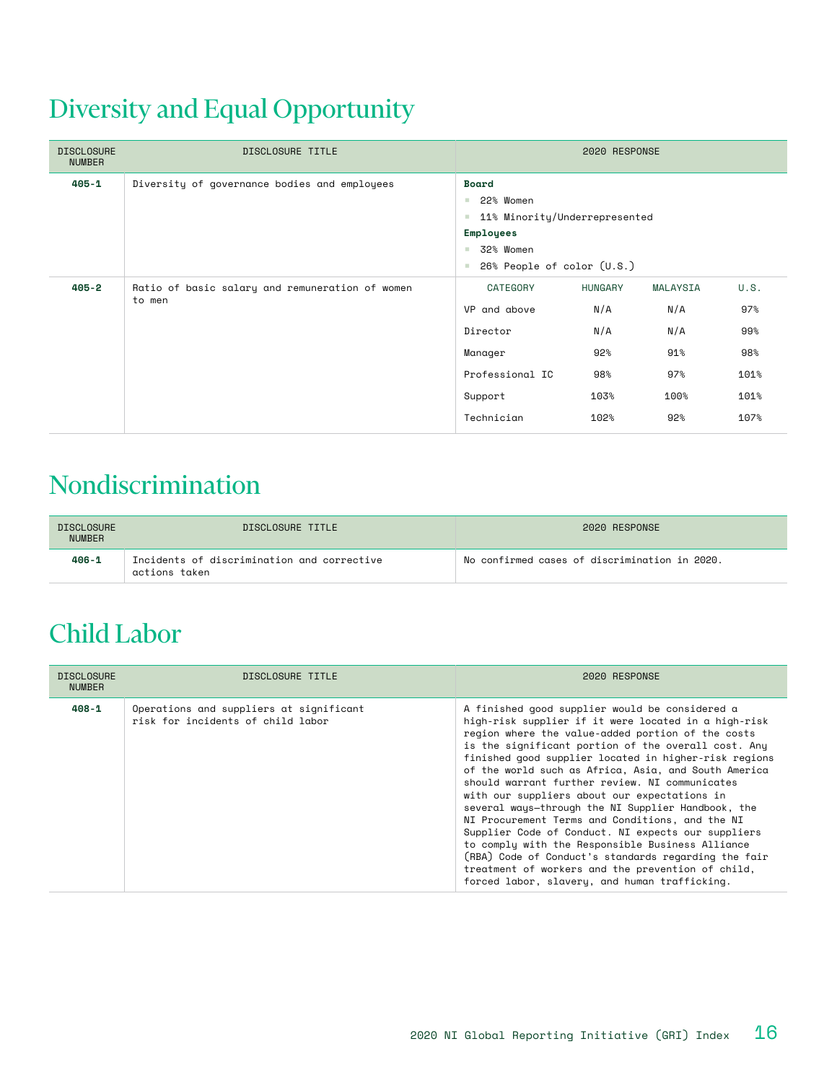# Diversity and Equal Opportunity

| <b>DISCLOSURE</b><br><b>NUMBER</b> | DISCLOSURE TITLE                                          | 2020 RESPONSE                                                                                                                                            |                                                            |                                                     |                                                   |
|------------------------------------|-----------------------------------------------------------|----------------------------------------------------------------------------------------------------------------------------------------------------------|------------------------------------------------------------|-----------------------------------------------------|---------------------------------------------------|
| $405 - 1$                          | Diversity of governance bodies and employees              | Board<br>22% Women<br>a.<br>11% Minority/Underrepresented<br>×<br><b>Employees</b><br>32% Women<br><b>III</b><br>26% People of color (U.S.)<br><b>II</b> |                                                            |                                                     |                                                   |
| $405 - 2$                          | Ratio of basic salary and remuneration of women<br>to men | CATEGORY<br>VP and above<br>Director<br>Manager<br>Professional IC<br>Support<br>Technician                                                              | <b>HUNGARY</b><br>N/A<br>N/A<br>92%<br>98%<br>103%<br>102% | MALAYSIA<br>N/A<br>N/A<br>91%<br>97%<br>100%<br>92% | U.S.<br>97%<br>99%<br>98%<br>101%<br>101%<br>107% |

#### Nondiscrimination

| <b>DISCLOSURE</b><br><b>NUMBER</b> | DISCLOSURE TITLE                                            | 2020 RESPONSE                                 |
|------------------------------------|-------------------------------------------------------------|-----------------------------------------------|
| $406 - 1$                          | Incidents of discrimination and corrective<br>actions taken | No confirmed cases of discrimination in 2020. |

## Child Labor

| <b>DISCLOSURE</b><br><b>NUMBER</b> | DISCLOSURE TITLE                                                             | 2020 RESPONSE                                                                                                                                                                                                                                                                                                                                                                                                                                                                                                                                                                                                                                                                                                                                                                                                          |
|------------------------------------|------------------------------------------------------------------------------|------------------------------------------------------------------------------------------------------------------------------------------------------------------------------------------------------------------------------------------------------------------------------------------------------------------------------------------------------------------------------------------------------------------------------------------------------------------------------------------------------------------------------------------------------------------------------------------------------------------------------------------------------------------------------------------------------------------------------------------------------------------------------------------------------------------------|
| 408-1                              | Operations and suppliers at significant<br>risk for incidents of child labor | A finished good supplier would be considered a<br>high-risk supplier if it were located in a high-risk<br>region where the value-added portion of the costs<br>is the significant portion of the overall cost. Any<br>finished good supplier located in higher-risk regions<br>of the world such as Africa, Asia, and South America<br>should warrant further review. NI communicates<br>with our suppliers about our expectations in<br>several ways-through the NI Supplier Handbook, the<br>NI Procurement Terms and Conditions, and the NI<br>Supplier Code of Conduct. NI expects our suppliers<br>to comply with the Responsible Business Alliance<br>(RBA) Code of Conduct's standards regarding the fair<br>treatment of workers and the prevention of child,<br>forced labor, slavery, and human trafficking. |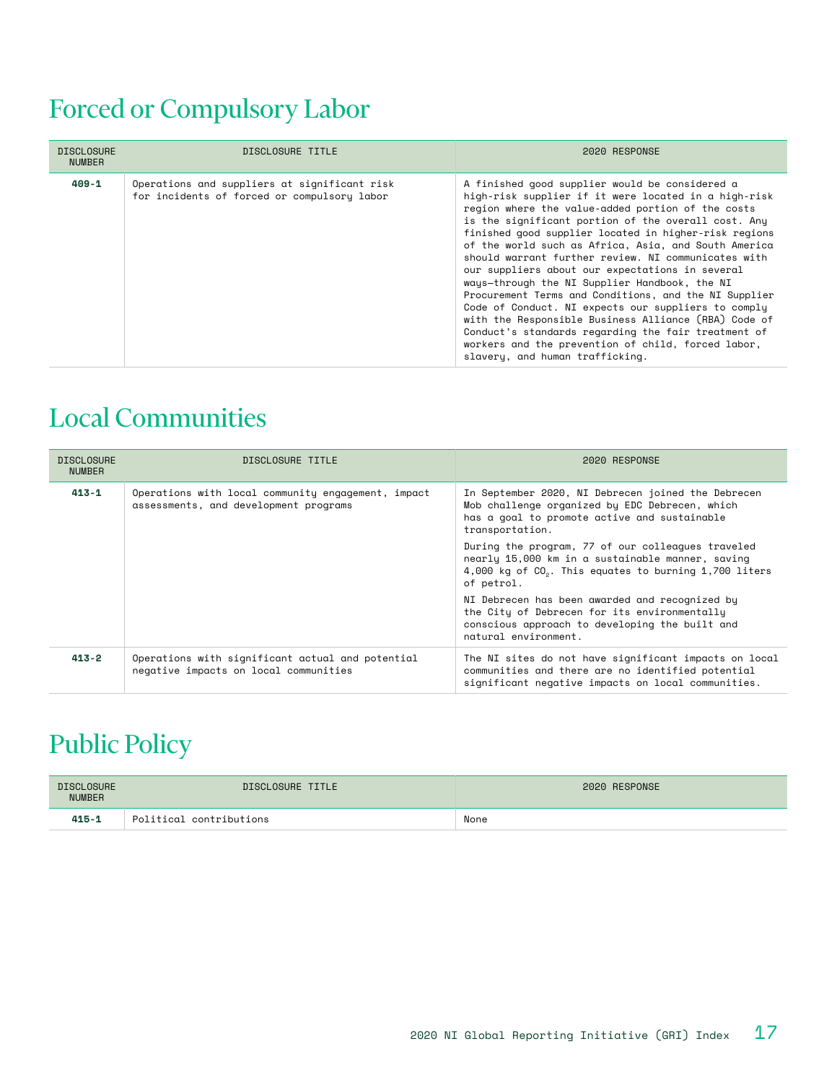## Forced or Compulsory Labor

| <b>DISCLOSURE</b><br><b>NUMBER</b> | DISCLOSURE TITLE                                                                            | 2020 RESPONSE                                                                                                                                                                                                                                                                                                                                                                                                                                                                                                                                                                                                                                                                                                                                                                                                          |
|------------------------------------|---------------------------------------------------------------------------------------------|------------------------------------------------------------------------------------------------------------------------------------------------------------------------------------------------------------------------------------------------------------------------------------------------------------------------------------------------------------------------------------------------------------------------------------------------------------------------------------------------------------------------------------------------------------------------------------------------------------------------------------------------------------------------------------------------------------------------------------------------------------------------------------------------------------------------|
| $409 - 1$                          | Operations and suppliers at significant risk<br>for incidents of forced or compulsory labor | A finished good supplier would be considered a<br>high-risk supplier if it were located in a high-risk<br>region where the value-added portion of the costs<br>is the significant portion of the overall cost. Any<br>finished good supplier located in higher-risk regions<br>of the world such as Africa. Asia, and South America<br>should warrant further review. NI communicates with<br>our suppliers about our expectations in several<br>ways-through the NI Supplier Handbook, the NI<br>Procurement Terms and Conditions, and the NI Supplier<br>Code of Conduct. NI expects our suppliers to comply<br>with the Responsible Business Alliance (RBA) Code of<br>Conduct's standards regarding the fair treatment of<br>workers and the prevention of child, forced labor,<br>slavery, and human trafficking. |

#### Local Communities

| <b>DISCLOSURE</b><br><b>NUMBER</b> | DISCLOSURE TITLE                                                                            | 2020 RESPONSE                                                                                                                                                                             |
|------------------------------------|---------------------------------------------------------------------------------------------|-------------------------------------------------------------------------------------------------------------------------------------------------------------------------------------------|
| 413-1                              | Operations with local community engagement, impact<br>assessments, and development programs | In September 2020, NI Debrecen joined the Debrecen<br>Mob challenge organized by EDC Debrecen, which<br>has a goal to promote active and sustainable<br>transportation.                   |
|                                    |                                                                                             | During the program, 77 of our colleagues traveled<br>nearly 15,000 km in a sustainable manner, saving<br>4,000 kg of CO <sub>2</sub> . This equates to burning 1,700 liters<br>of petrol. |
|                                    |                                                                                             | NI Debrecen has been awarded and recognized by<br>the City of Debrecen for its environmentally<br>conscious approach to developing the built and<br>natural environment.                  |
| 413-2                              | Operations with significant actual and potential<br>negative impacts on local communities   | The NI sites do not have significant impacts on local<br>communities and there are no identified potential<br>significant negative impacts on local communities.                          |

## Public Policy

| <b>DISCLOSURE</b><br><b>NUMBER</b> | DISCLOSURE TITLE        | 2020 RESPONSE |
|------------------------------------|-------------------------|---------------|
| $415 - 1$                          | Political contributions | None          |